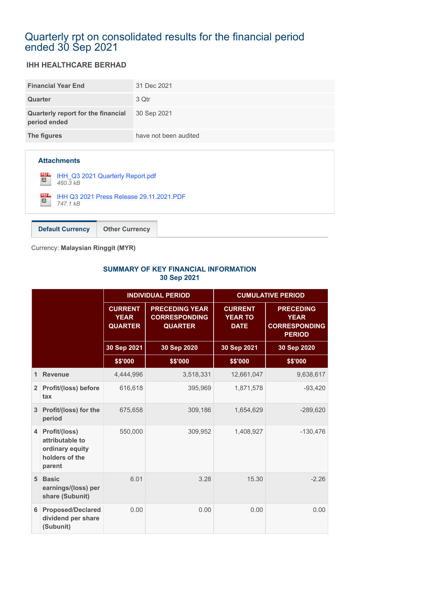# Quarterly rpt on consolidated results for the financial period ended 30 Sep 2021

# **IHH HEALTHCARE BERHAD**

| <b>Financial Year End</b>                          | 31 Dec 2021           |
|----------------------------------------------------|-----------------------|
| Quarter                                            | 3 Qtr                 |
| Quarterly report for the financial<br>period ended | 30 Sep 2021           |
| The figures                                        | have not been audited |

|                  | <b>Attachments</b>                                   |
|------------------|------------------------------------------------------|
| 四                | IHH_Q3 2021 Quarterly Report.pdf<br>460.3 kB         |
| <b>PDF</b><br>A. | IHH Q3 2021 Press Release 29.11.2021.PDF<br>747.1 kB |
|                  |                                                      |

Currency: **Malaysian Ringgit (MYR)**

**Default Currency Other Currency**

# **SUMMARY OF KEY FINANCIAL INFORMATION 30 Sep 2021**

|                |                                                                                 |                                                 | <b>INDIVIDUAL PERIOD</b>                                        | <b>CUMULATIVE PERIOD</b>                        |                                                                          |  |
|----------------|---------------------------------------------------------------------------------|-------------------------------------------------|-----------------------------------------------------------------|-------------------------------------------------|--------------------------------------------------------------------------|--|
|                |                                                                                 | <b>CURRENT</b><br><b>YEAR</b><br><b>QUARTER</b> | <b>PRECEDING YEAR</b><br><b>CORRESPONDING</b><br><b>QUARTER</b> | <b>CURRENT</b><br><b>YEAR TO</b><br><b>DATE</b> | <b>PRECEDING</b><br><b>YEAR</b><br><b>CORRESPONDING</b><br><b>PERIOD</b> |  |
|                |                                                                                 | 30 Sep 2021                                     | 30 Sep 2020                                                     | 30 Sep 2021                                     | 30 Sep 2020                                                              |  |
|                |                                                                                 | \$\$'000                                        | \$\$'000                                                        | \$\$'000                                        | \$\$'000                                                                 |  |
| 1              | <b>Revenue</b>                                                                  | 4,444,996                                       | 3,518,331                                                       | 12,661,047                                      | 9,638,617                                                                |  |
| 2 <sup>1</sup> | Profit/(loss) before<br>tax                                                     | 616,618                                         | 395,969                                                         | 1,871,578                                       | $-93,420$                                                                |  |
| 3 <sup>1</sup> | Profit/(loss) for the<br>period                                                 | 675,658                                         | 309,186                                                         | 1,654,629                                       | $-289,620$                                                               |  |
| $\overline{4}$ | Profit/(loss)<br>attributable to<br>ordinary equity<br>holders of the<br>parent | 550,000                                         | 309,952                                                         | 1,408,927                                       | $-130,476$                                                               |  |
|                | 5 Basic<br>earnings/(loss) per<br>share (Subunit)                               | 6.01                                            | 3.28                                                            | 15.30                                           | $-2.26$                                                                  |  |
| 6              | <b>Proposed/Declared</b><br>dividend per share<br>(Subunit)                     | 0.00                                            | 0.00                                                            | 0.00                                            | 0.00                                                                     |  |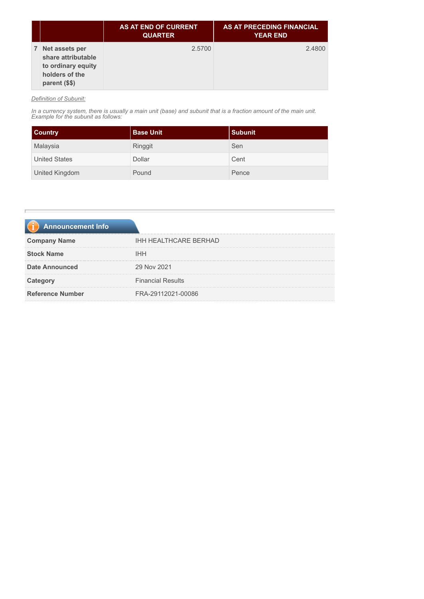|                |                                                                                               | <b>AS AT END OF CURRENT</b><br><b>QUARTER</b> | AS AT PRECEDING FINANCIAL<br><b>YEAR END</b> |
|----------------|-----------------------------------------------------------------------------------------------|-----------------------------------------------|----------------------------------------------|
| 7 <sup>1</sup> | Net assets per<br>share attributable<br>to ordinary equity<br>holders of the<br>parent (\$\$) | 2.5700                                        | 2.4800                                       |

# *Definition of Subunit:*

*In a currency system, there is usually a main unit (base) and subunit that is a fraction amount of the main unit. Example for the subunit as follows:*

| <b>Country</b>        | l Base Unit | Subunit |
|-----------------------|-------------|---------|
| Malaysia              | Ringgit     | Sen     |
| <b>United States</b>  | Dollar      | Cent    |
| <b>United Kingdom</b> | Pound       | Pence   |

| <b>IHH HEALTHCARE BERHAD</b> |
|------------------------------|
| <b>IHH</b>                   |
| 29 Nov 2021                  |
| <b>Financial Results</b>     |
| FRA-29112021-00086           |
|                              |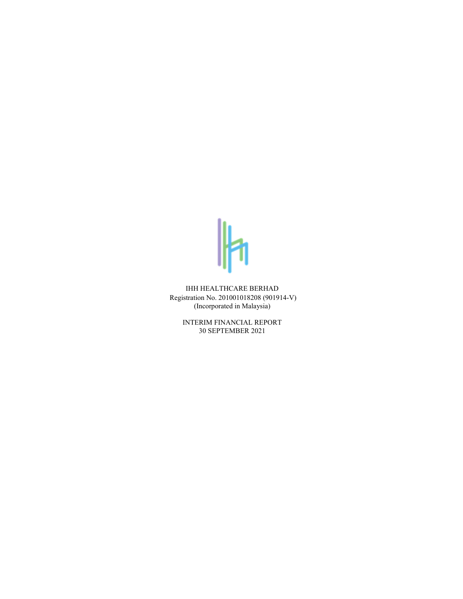

IHH HEALTHCARE BERHAD Registration No. 201001018208 (901914-V) (Incorporated in Malaysia)

> INTERIM FINANCIAL REPORT 30 SEPTEMBER 2021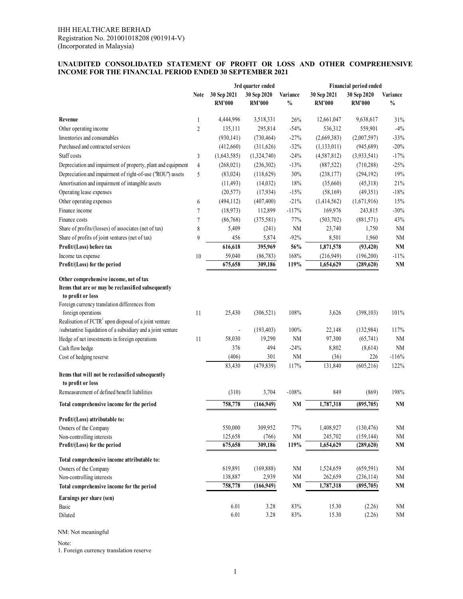#### **UNAUDITED CONSOLIDATED STATEMENT OF PROFIT OR LOSS AND OTHER COMPREHENSIVE INCOME FOR THE FINANCIAL PERIOD ENDED 30 SEPTEMBER 2021**

|                                                                                                                                                                                          | 3rd quarter ended |                              |                              | Financial period ended    |                              |                              |                           |
|------------------------------------------------------------------------------------------------------------------------------------------------------------------------------------------|-------------------|------------------------------|------------------------------|---------------------------|------------------------------|------------------------------|---------------------------|
|                                                                                                                                                                                          | Note              | 30 Sep 2021<br><b>RM'000</b> | 30 Sep 2020<br><b>RM'000</b> | Variance<br>$\frac{0}{0}$ | 30 Sep 2021<br><b>RM'000</b> | 30 Sep 2020<br><b>RM'000</b> | Variance<br>$\frac{0}{0}$ |
| Revenue                                                                                                                                                                                  | $\mathbf{1}$      | 4,444,996                    | 3,518,331                    | 26%                       | 12,661,047                   | 9,638,617                    | 31%                       |
| Other operating income                                                                                                                                                                   | $\overline{c}$    | 135,111                      | 295,814                      | $-54%$                    | 536,312                      | 559,901                      | $-4%$                     |
| Inventories and consumables                                                                                                                                                              |                   | (930, 141)                   | (730, 464)                   | $-27%$                    | (2,669,383)                  | (2,007,597)                  | $-33%$                    |
| Purchased and contracted services                                                                                                                                                        |                   | (412,660)                    | (311,626)                    | $-32%$                    | (1, 133, 011)                | (945,689)                    | $-20%$                    |
| Staff costs                                                                                                                                                                              | 3                 | (1,643,585)                  | (1,324,740)                  | $-24%$                    | (4,587,812)                  | (3,933,541)                  | $-17%$                    |
| Depreciation and impairment of property, plant and equipment                                                                                                                             | $\overline{4}$    | (268, 021)                   | (236,302)                    | $-13%$                    | (887, 522)                   | (710, 288)                   | $-25%$                    |
| Depreciation and impairment of right-of-use ("ROU") assets                                                                                                                               | 5                 | (83, 024)                    | (118,629)                    | 30%                       | (238, 177)                   | (294, 192)                   | 19%                       |
| Amortisation and impairment of intangible assets                                                                                                                                         |                   | (11, 493)                    | (14,032)                     | 18%                       | (35,660)                     | (45,318)                     | 21%                       |
| Operating lease expenses                                                                                                                                                                 |                   | (20, 577)                    | (17, 934)                    | $-15%$                    | (58, 169)                    | (49,351)                     | $-18%$                    |
| Other operating expenses                                                                                                                                                                 | 6                 | (494, 112)                   | (407, 400)                   | $-21%$                    | (1,414,562)                  | (1,671,916)                  | 15%                       |
| Finance income                                                                                                                                                                           | 7                 | (18,973)                     | 112,899                      | $-117%$                   | 169,976                      | 243,815                      | $-30%$                    |
| Finance costs                                                                                                                                                                            | 7                 | (86,768)                     | (375,581)                    | 77%                       | (503,702)                    | (881,571)                    | 43%                       |
| Share of profits/(losses) of associates (net of tax)                                                                                                                                     | 8                 | 5,409                        | (241)                        | $\rm{NM}$                 | 23,740                       | 1,750                        | NM                        |
| Share of profits of joint ventures (net of tax)                                                                                                                                          | 9                 | 456                          | 5,874                        | $-92%$                    | 8,501                        | 1,960                        | <b>NM</b>                 |
| Profit/(Loss) before tax                                                                                                                                                                 |                   | 616,618                      | 395,969                      | 56%                       | 1,871,578                    | (93, 420)                    | NM                        |
| Income tax expense                                                                                                                                                                       | 10                | 59,040                       | (86, 783)                    | 168%                      | (216,949)                    | (196,200)                    | $-11%$                    |
| Profit/(Loss) for the period                                                                                                                                                             |                   | 675,658                      | 309,186                      | 119%                      | 1,654,629                    | (289, 620)                   | NM                        |
| Other comprehensive income, net of tax<br>Items that are or may be reclassified subsequently<br>to profit or loss<br>Foreign currency translation differences from<br>foreign operations | 11                | 25,430                       | (306, 521)                   | 108%                      | 3,626                        | (398, 103)                   | 101%                      |
| Realisation of $FCTR1$ upon disposal of a joint venture                                                                                                                                  |                   |                              |                              |                           |                              |                              |                           |
| /substantive liquidation of a subsidiary and a joint venture                                                                                                                             |                   |                              | (193, 403)                   | 100%                      | 22,148                       | (132,984)                    | 117%                      |
| Hedge of net investments in foreign operations                                                                                                                                           | 11                | 58,030                       | 19,290                       | $\rm{NM}$                 | 97,300                       | (65,741)                     | $\rm NM$                  |
| Cash flow hedge                                                                                                                                                                          |                   | 376                          | 494                          | $-24%$                    | 8,802                        | (8,614)                      | <b>NM</b>                 |
| Cost of hedging reserve                                                                                                                                                                  |                   | (406)                        | 301                          | $\rm{NM}$                 | (36)                         | 226                          | $-116%$                   |
| Items that will not be reclassified subsequently                                                                                                                                         |                   | 83,430                       | (479, 839)                   | 117%                      | 131,840                      | (605,216)                    | 122%                      |
| to profit or loss                                                                                                                                                                        |                   |                              |                              |                           |                              |                              |                           |
| Remeasurement of defined benefit liabilities                                                                                                                                             |                   | (310)                        | 3,704                        | $-108%$                   | 849                          | (869)                        | 198%                      |
| Total comprehensive income for the period                                                                                                                                                |                   | 758,778                      | (166,949)                    | $\mathbf{NM}$             | 1,787,318                    | (895,705)                    | NM                        |
| Profit/(Loss) attributable to:                                                                                                                                                           |                   |                              |                              |                           |                              |                              |                           |
| Owners of the Company                                                                                                                                                                    |                   | 550,000                      | 309,952                      | 77%                       | 1,408,927                    | (130, 476)                   | $\rm{NM}$                 |
| Non-controlling interests                                                                                                                                                                |                   | 125,658                      | (766)                        | $\rm{NM}$                 | 245,702                      | (159, 144)                   | $\rm NM$                  |
| Profit/(Loss) for the period                                                                                                                                                             |                   | 675,658                      | 309,186                      | 119%                      | 1,654,629                    | (289, 620)                   | $\mathbf{N}\mathbf{M}$    |
| Total comprehensive income attributable to:                                                                                                                                              |                   |                              |                              |                           |                              |                              |                           |
| Owners of the Company                                                                                                                                                                    |                   | 619,891                      | (169, 888)                   | NM                        | 1,524,659                    | (659, 591)                   | <b>NM</b>                 |
| Non-controlling interests                                                                                                                                                                |                   | 138,887                      | 2,939                        | $\rm{NM}$                 | 262,659                      | (236, 114)                   | $\rm NM$                  |
| Total comprehensive income for the period                                                                                                                                                |                   | 758,778                      | (166,949)                    | $\mathbf{NM}$             | 1,787,318                    | (895,705)                    | <b>NM</b>                 |
| Earnings per share (sen)                                                                                                                                                                 |                   |                              |                              |                           |                              |                              |                           |
| Basic                                                                                                                                                                                    |                   | 6.01                         | 3.28                         | 83%                       | 15.30                        | (2.26)                       | <b>NM</b>                 |
| Diluted                                                                                                                                                                                  |                   | 6.01                         | 3.28                         | 83%                       | 15.30                        | (2.26)                       | $\rm NM$                  |

NM: Not meaningful

Note:

1. Foreign currency translation reserve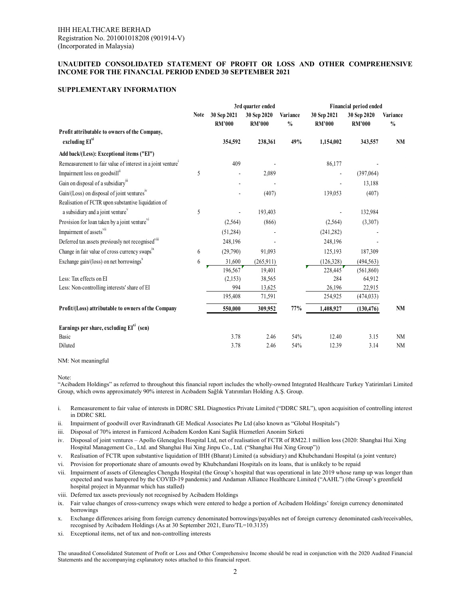#### **UNAUDITED CONSOLIDATED STATEMENT OF PROFIT OR LOSS AND OTHER COMPREHENSIVE INCOME FOR THE FINANCIAL PERIOD ENDED 30 SEPTEMBER 2021**

# **SUPPLEMENTARY INFORMATION**

|                                                                             | 3rd quarter ended |                              |                              | <b>Financial period ended</b> |                              |                              |                           |
|-----------------------------------------------------------------------------|-------------------|------------------------------|------------------------------|-------------------------------|------------------------------|------------------------------|---------------------------|
|                                                                             | <b>Note</b>       | 30 Sep 2021<br><b>RM'000</b> | 30 Sep 2020<br><b>RM'000</b> | Variance<br>$\frac{0}{0}$     | 30 Sep 2021<br><b>RM'000</b> | 30 Sep 2020<br><b>RM'000</b> | Variance<br>$\frac{0}{0}$ |
| Profit attributable to owners of the Company,<br>excluding El <sup>xi</sup> |                   | 354,592                      | 238,361                      | 49%                           | 1,154,002                    | 343,557                      | <b>NM</b>                 |
| Add back/(Less): Exceptional items ("EI")                                   |                   |                              |                              |                               |                              |                              |                           |
| Remeasurement to fair value of interest in a joint venture <sup>1</sup>     |                   | 409                          |                              |                               | 86,177                       |                              |                           |
| Impairment loss on goodwill <sup>ii</sup>                                   | 5                 |                              | 2,089                        |                               |                              | (397,064)                    |                           |
| Gain on disposal of a subsidiary <sup>iii</sup>                             |                   |                              |                              |                               |                              | 13,188                       |                           |
| Gain/(Loss) on disposal of joint ventures <sup>iv</sup>                     |                   |                              | (407)                        |                               | 139,053                      | (407)                        |                           |
| Realisation of FCTR upon substantive liquidation of                         |                   |                              |                              |                               |                              |                              |                           |
| a subsidiary and a joint venture                                            | 5                 |                              | 193,403                      |                               |                              | 132,984                      |                           |
| Provision for loan taken by a joint venture <sup>vi</sup>                   |                   | (2,564)                      | (866)                        |                               | (2,564)                      | (3,307)                      |                           |
| Impairment of assets <sup>vii</sup>                                         |                   | (51, 284)                    |                              |                               | (241, 282)                   |                              |                           |
| Deferred tax assets previously not recognised"iii                           |                   | 248,196                      |                              |                               | 248,196                      |                              |                           |
| Change in fair value of cross currency swaps"                               | 6                 | (29,790)                     | 91,093                       |                               | 125,193                      | 187,309                      |                           |
| Exchange gain/(loss) on net borrowings $x^*$                                | 6                 | 31,600                       | (265,911)                    |                               | (126, 328)                   | (494, 563)                   |                           |
|                                                                             |                   | 196,567                      | 19,401                       |                               | 228,445                      | (561, 860)                   |                           |
| Less: Tax effects on EI                                                     |                   | (2,153)                      | 38,565                       |                               | 284                          | 64,912                       |                           |
| Less: Non-controlling interests' share of EI                                |                   | 994                          | 13,625                       |                               | 26,196                       | 22,915                       |                           |
|                                                                             |                   | 195,408                      | 71,591                       |                               | 254,925                      | (474, 033)                   |                           |
| Profit/(Loss) attributable to owners of the Company                         |                   | 550,000                      | 309,952                      | 77%                           | 1,408,927                    | (130, 476)                   | <b>NM</b>                 |
| Earnings per share, excluding EI <sup>xi</sup> (sen)                        |                   |                              |                              |                               |                              |                              |                           |
| Basic                                                                       |                   | 3.78                         | 2.46                         | 54%                           | 12.40                        | 3.15                         | <b>NM</b>                 |
| Diluted                                                                     |                   | 3.78                         | 2.46                         | 54%                           | 12.39                        | 3.14                         | <b>NM</b>                 |

NM: Not meaningful

Note:

"Acibadem Holdings" as referred to throughout this financial report includes the wholly-owned Integrated Healthcare Turkey Yatirimlari Limited Group, which owns approximately 90% interest in Acıbadem Sağlık Yatırımları Holding A.Ş. Group.

- i. Remeasurement to fair value of interests in DDRC SRL Diagnostics Private Limited ("DDRC SRL"), upon acquisition of controlling interest in DDRC SRL
- ii. Impairment of goodwill over Ravindranath GE Medical Associates Pte Ltd (also known as "Global Hospitals")
- iii. Disposal of 70% interest in Famicord Acibadem Kordon Kani Saglik Hizmetleri Anonim Sirketi
- iv. Disposal of joint ventures Apollo Gleneagles Hospital Ltd, net of realisation of FCTR of RM22.1 million loss (2020: Shanghai Hui Xing Hospital Management Co., Ltd. and Shanghai Hui Xing Jinpu Co., Ltd. ("Shanghai Hui Xing Group"))
- v. Realisation of FCTR upon substantive liquidation of IHH (Bharat) Limited (a subsidiary) and Khubchandani Hospital (a joint venture)
- vi. Provision for proportionate share of amounts owed by Khubchandani Hospitals on its loans, that is unlikely to be repaid
- vii. Impairment of assets of Gleneagles Chengdu Hospital (the Group's hospital that was operational in late 2019 whose ramp up was longer than expected and was hampered by the COVID-19 pandemic) and Andaman Alliance Healthcare Limited ("AAHL") (the Group's greenfield hospital project in Myanmar which has stalled)
- viii. Deferred tax assets previously not recognised by Acibadem Holdings
- ix. Fair value changes of cross-currency swaps which were entered to hedge a portion of Acibadem Holdings' foreign currency denominated borrowings
- x. Exchange differences arising from foreign currency denominated borrowings/payables net of foreign currency denominated cash/receivables, recognised by Acibadem Holdings (As at 30 September 2021, Euro/TL=10.3135)
- xi. Exceptional items, net of tax and non-controlling interests

The unaudited Consolidated Statement of Profit or Loss and Other Comprehensive Income should be read in conjunction with the 2020 Audited Financial Statements and the accompanying explanatory notes attached to this financial report.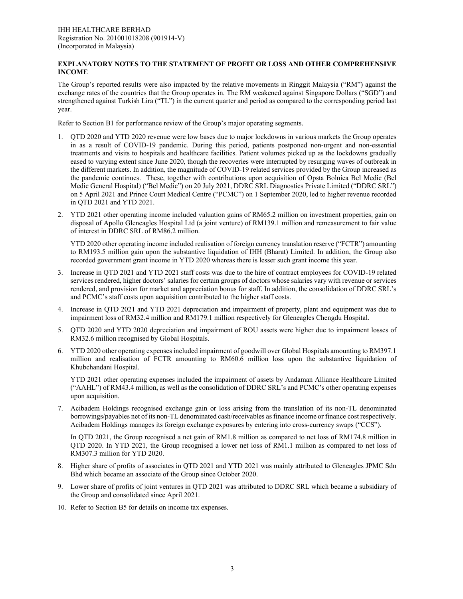#### **EXPLANATORY NOTES TO THE STATEMENT OF PROFIT OR LOSS AND OTHER COMPREHENSIVE INCOME**

The Group's reported results were also impacted by the relative movements in Ringgit Malaysia ("RM") against the exchange rates of the countries that the Group operates in. The RM weakened against Singapore Dollars ("SGD") and strengthened against Turkish Lira ("TL") in the current quarter and period as compared to the corresponding period last year.

Refer to Section B1 for performance review of the Group's major operating segments.

- 1. QTD 2020 and YTD 2020 revenue were low bases due to major lockdowns in various markets the Group operates in as a result of COVID-19 pandemic. During this period, patients postponed non-urgent and non-essential treatments and visits to hospitals and healthcare facilities. Patient volumes picked up as the lockdowns gradually eased to varying extent since June 2020, though the recoveries were interrupted by resurging waves of outbreak in the different markets. In addition, the magnitude of COVID-19 related services provided by the Group increased as the pandemic continues. These, together with contributions upon acquisition of Opsta Bolnica Bel Medic (Bel Medic General Hospital) ("Bel Medic") on 20 July 2021, DDRC SRL Diagnostics Private Limited ("DDRC SRL") on 5 April 2021 and Prince Court Medical Centre ("PCMC") on 1 September 2020, led to higher revenue recorded in QTD 2021 and YTD 2021.
- 2. YTD 2021 other operating income included valuation gains of RM65.2 million on investment properties, gain on disposal of Apollo Gleneagles Hospital Ltd (a joint venture) of RM139.1 million and remeasurement to fair value of interest in DDRC SRL of RM86.2 million.

YTD 2020 other operating income included realisation of foreign currency translation reserve ("FCTR") amounting to RM193.5 million gain upon the substantive liquidation of IHH (Bharat) Limited. In addition, the Group also recorded government grant income in YTD 2020 whereas there is lesser such grant income this year.

- 3. Increase in QTD 2021 and YTD 2021 staff costs was due to the hire of contract employees for COVID-19 related services rendered, higher doctors' salaries for certain groups of doctors whose salaries vary with revenue or services rendered, and provision for market and appreciation bonus for staff. In addition, the consolidation of DDRC SRL's and PCMC's staff costs upon acquisition contributed to the higher staff costs.
- 4. Increase in QTD 2021 and YTD 2021 depreciation and impairment of property, plant and equipment was due to impairment loss of RM32.4 million and RM179.1 million respectively for Gleneagles Chengdu Hospital.
- 5. QTD 2020 and YTD 2020 depreciation and impairment of ROU assets were higher due to impairment losses of RM32.6 million recognised by Global Hospitals.
- 6. YTD 2020 other operating expenses included impairment of goodwill over Global Hospitals amounting to RM397.1 million and realisation of FCTR amounting to RM60.6 million loss upon the substantive liquidation of Khubchandani Hospital.

YTD 2021 other operating expenses included the impairment of assets by Andaman Alliance Healthcare Limited ("AAHL") of RM43.4 million, as well as the consolidation of DDRC SRL's and PCMC's other operating expenses upon acquisition.

7. Acibadem Holdings recognised exchange gain or loss arising from the translation of its non-TL denominated borrowings/payables net of its non-TL denominated cash/receivables as finance income or finance cost respectively. Acibadem Holdings manages its foreign exchange exposures by entering into cross-currency swaps ("CCS").

In QTD 2021, the Group recognised a net gain of RM1.8 million as compared to net loss of RM174.8 million in QTD 2020. In YTD 2021, the Group recognised a lower net loss of RM1.1 million as compared to net loss of RM307.3 million for YTD 2020.

- 8. Higher share of profits of associates in QTD 2021 and YTD 2021 was mainly attributed to Gleneagles JPMC Sdn Bhd which became an associate of the Group since October 2020.
- 9. Lower share of profits of joint ventures in QTD 2021 was attributed to DDRC SRL which became a subsidiary of the Group and consolidated since April 2021.
- 10. Refer to Section B5 for details on income tax expenses.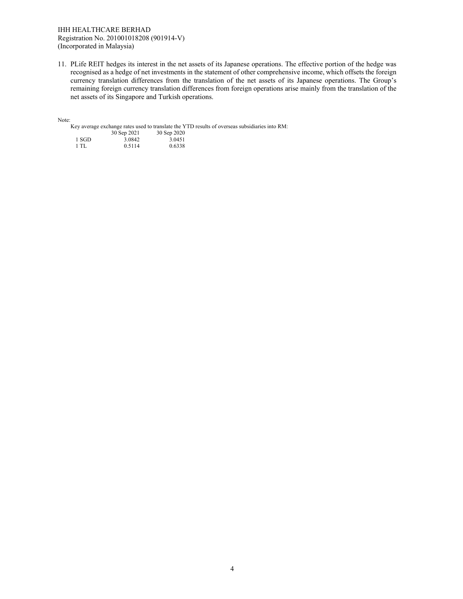#### IHH HEALTHCARE BERHAD Registration No. 201001018208 (901914-V) (Incorporated in Malaysia)

11. PLife REIT hedges its interest in the net assets of its Japanese operations. The effective portion of the hedge was recognised as a hedge of net investments in the statement of other comprehensive income, which offsets the foreign currency translation differences from the translation of the net assets of its Japanese operations. The Group's remaining foreign currency translation differences from foreign operations arise mainly from the translation of the net assets of its Singapore and Turkish operations.

Note:

Key average exchange rates used to translate the YTD results of overseas subsidiaries into RM:

|       | 30 Sep 2021 | 30 Sep 2020 |
|-------|-------------|-------------|
| 1 SGD | 3.0842      | 3.0451      |
| 1 TL  | 0.5114      | 0.6338      |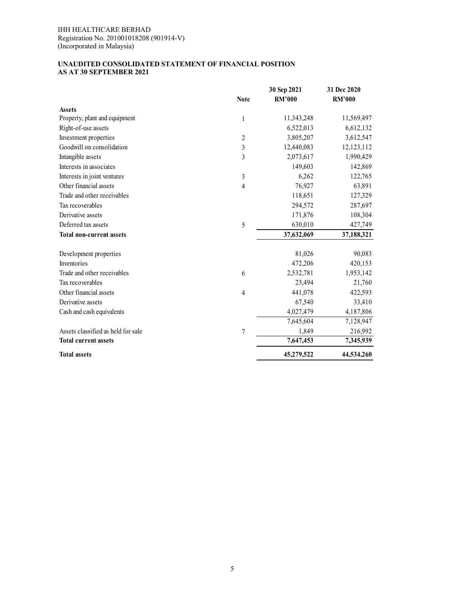#### **UNAUDITED CONSOLIDATED STATEMENT OF FINANCIAL POSITION AS AT 30 SEPTEMBER 2021**

|                                    |             | 30 Sep 2021   | 31 Dec 2020   |
|------------------------------------|-------------|---------------|---------------|
|                                    | <b>Note</b> | <b>RM'000</b> | <b>RM'000</b> |
| <b>Assets</b>                      |             |               |               |
| Property, plant and equipment      | 1           | 11,343,248    | 11,569,497    |
| Right-of-use assets                |             | 6,522,013     | 6,612,132     |
| Investment properties              | 2           | 3,805,207     | 3,612,547     |
| Goodwill on consolidation          | 3           | 12,440,083    | 12,123,112    |
| Intangible assets                  | 3           | 2,073,617     | 1,990,429     |
| Interests in associates            |             | 149,603       | 142,869       |
| Interests in joint ventures        | 3           | 6,262         | 122,765       |
| Other financial assets             | 4           | 76,927        | 63,891        |
| Trade and other receivables        |             | 118,651       | 127,329       |
| Tax recoverables                   |             | 294,572       | 287,697       |
| Derivative assets                  |             | 171,876       | 108,304       |
| Deferred tax assets                | 5           | 630,010       | 427,749       |
| <b>Total non-current assets</b>    |             | 37,632,069    | 37,188,321    |
|                                    |             |               |               |
| Development properties             |             | 81,026        | 90,083        |
| Inventories                        |             | 472,206       | 420,153       |
| Trade and other receivables        | 6           | 2,532,781     | 1,953,142     |
| Tax recoverables                   |             | 23,494        | 21,760        |
| Other financial assets             | 4           | 441,078       | 422,593       |
| Derivative assets                  |             | 67,540        | 33,410        |
| Cash and cash equivalents          |             | 4,027,479     | 4,187,806     |
|                                    |             | 7,645,604     | 7,128,947     |
| Assets classified as held for sale | 7           | 1,849         | 216,992       |
| <b>Total current assets</b>        |             | 7,647,453     | 7,345,939     |
| <b>Total assets</b>                |             | 45,279,522    | 44,534,260    |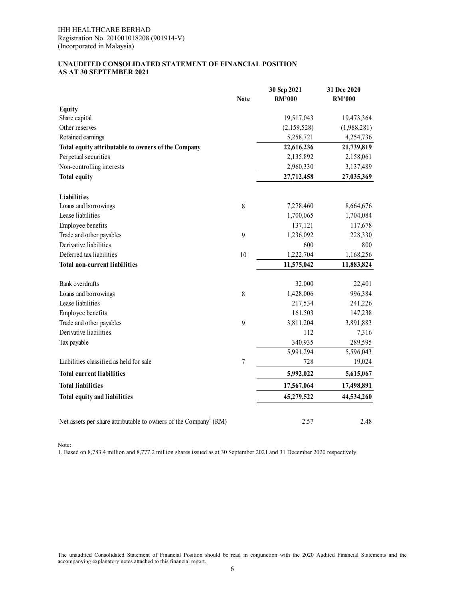### **UNAUDITED CONSOLIDATED STATEMENT OF FINANCIAL POSITION AS AT 30 SEPTEMBER 2021**

|                                                                              | <b>Note</b> | 30 Sep 2021<br><b>RM'000</b> | 31 Dec 2020<br><b>RM'000</b> |
|------------------------------------------------------------------------------|-------------|------------------------------|------------------------------|
| Equity                                                                       |             |                              |                              |
| Share capital                                                                |             | 19,517,043                   | 19,473,364                   |
| Other reserves                                                               |             | (2,159,528)                  | (1,988,281)                  |
| Retained earnings                                                            |             | 5,258,721                    | 4,254,736                    |
| Total equity attributable to owners of the Company                           |             | 22,616,236                   | 21,739,819                   |
| Perpetual securities                                                         |             | 2,135,892                    | 2,158,061                    |
| Non-controlling interests                                                    |             | 2,960,330                    | 3,137,489                    |
| <b>Total equity</b>                                                          |             | 27,712,458                   | 27,035,369                   |
| Liabilities                                                                  |             |                              |                              |
| Loans and borrowings                                                         | 8           | 7,278,460                    | 8,664,676                    |
| Lease liabilities                                                            |             | 1,700,065                    | 1,704,084                    |
| Employee benefits                                                            |             | 137,121                      | 117,678                      |
| Trade and other payables                                                     | 9           | 1,236,092                    | 228,330                      |
| Derivative liabilities                                                       |             | 600                          | 800                          |
| Deferred tax liabilities                                                     | 10          | 1,222,704                    | 1,168,256                    |
| <b>Total non-current liabilities</b>                                         |             | 11,575,042                   | 11,883,824                   |
| Bank overdrafts                                                              |             | 32,000                       | 22,401                       |
| Loans and borrowings                                                         | 8           | 1,428,006                    | 996,384                      |
| Lease liabilities                                                            |             | 217,534                      | 241,226                      |
| Employee benefits                                                            |             | 161,503                      | 147,238                      |
| Trade and other payables                                                     | 9           | 3,811,204                    | 3,891,883                    |
| Derivative liabilities                                                       |             | 112                          | 7,316                        |
| Tax payable                                                                  |             | 340,935                      | 289,595                      |
|                                                                              |             | 5,991,294                    | 5,596,043                    |
| Liabilities classified as held for sale                                      | 7           | 728                          | 19,024                       |
| <b>Total current liabilities</b>                                             |             | 5,992,022                    | 5,615,067                    |
| <b>Total liabilities</b>                                                     |             | 17,567,064                   | 17,498,891                   |
| Total equity and liabilities                                                 |             | 45,279,522                   | 44,534,260                   |
| Net assets per share attributable to owners of the Company <sup>1</sup> (RM) |             | 2.57                         | 2.48                         |

Note:

1. Based on 8,783.4 million and 8,777.2 million shares issued as at 30 September 2021 and 31 December 2020 respectively.

The unaudited Consolidated Statement of Financial Position should be read in conjunction with the 2020 Audited Financial Statements and the accompanying explanatory notes attached to this financial report.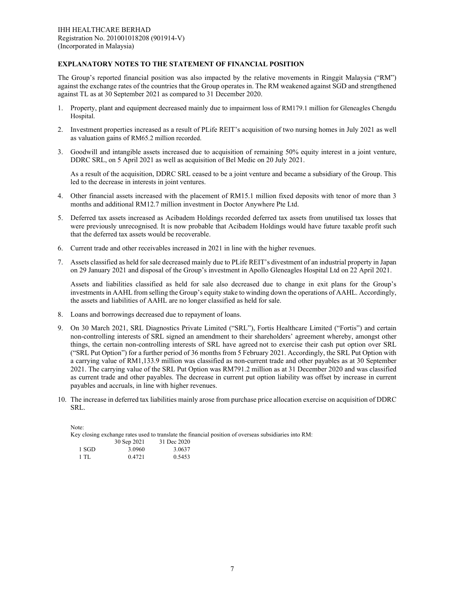#### **EXPLANATORY NOTES TO THE STATEMENT OF FINANCIAL POSITION**

The Group's reported financial position was also impacted by the relative movements in Ringgit Malaysia ("RM") against the exchange rates of the countries that the Group operates in. The RM weakened against SGD and strengthened against TL as at 30 September 2021 as compared to 31 December 2020.

- 1. Property, plant and equipment decreased mainly due to impairment loss of RM179.1 million for Gleneagles Chengdu Hospital.
- 2. Investment properties increased as a result of PLife REIT's acquisition of two nursing homes in July 2021 as well as valuation gains of RM65.2 million recorded.
- 3. Goodwill and intangible assets increased due to acquisition of remaining 50% equity interest in a joint venture, DDRC SRL, on 5 April 2021 as well as acquisition of Bel Medic on 20 July 2021.

As a result of the acquisition, DDRC SRL ceased to be a joint venture and became a subsidiary of the Group. This led to the decrease in interests in joint ventures.

- 4. Other financial assets increased with the placement of RM15.1 million fixed deposits with tenor of more than 3 months and additional RM12.7 million investment in Doctor Anywhere Pte Ltd.
- 5. Deferred tax assets increased as Acibadem Holdings recorded deferred tax assets from unutilised tax losses that were previously unrecognised. It is now probable that Acibadem Holdings would have future taxable profit such that the deferred tax assets would be recoverable.
- 6. Current trade and other receivables increased in 2021 in line with the higher revenues.
- 7. Assets classified as held for sale decreased mainly due to PLife REIT's divestment of an industrial property in Japan on 29 January 2021 and disposal of the Group's investment in Apollo Gleneagles Hospital Ltd on 22 April 2021.

Assets and liabilities classified as held for sale also decreased due to change in exit plans for the Group's investments in AAHL from selling the Group's equity stake to winding down the operations of AAHL. Accordingly, the assets and liabilities of AAHL are no longer classified as held for sale.

- 8. Loans and borrowings decreased due to repayment of loans.
- 9. On 30 March 2021, SRL Diagnostics Private Limited ("SRL"), Fortis Healthcare Limited ("Fortis") and certain non-controlling interests of SRL signed an amendment to their shareholders' agreement whereby, amongst other things, the certain non-controlling interests of SRL have agreed not to exercise their cash put option over SRL ("SRL Put Option") for a further period of 36 months from 5 February 2021. Accordingly, the SRL Put Option with a carrying value of RM1,133.9 million was classified as non-current trade and other payables as at 30 September 2021. The carrying value of the SRL Put Option was RM791.2 million as at 31 December 2020 and was classified as current trade and other payables. The decrease in current put option liability was offset by increase in current payables and accruals, in line with higher revenues.
- 10. The increase in deferred tax liabilities mainly arose from purchase price allocation exercise on acquisition of DDRC SRL.

Note:

Key closing exchange rates used to translate the financial position of overseas subsidiaries into RM:

|       | 30 Sep 2021 | 31 Dec 2020 |
|-------|-------------|-------------|
| 1 SGD | 3.0960      | 3.0637      |
| 1 TL  | 0.4721      | 0.5453      |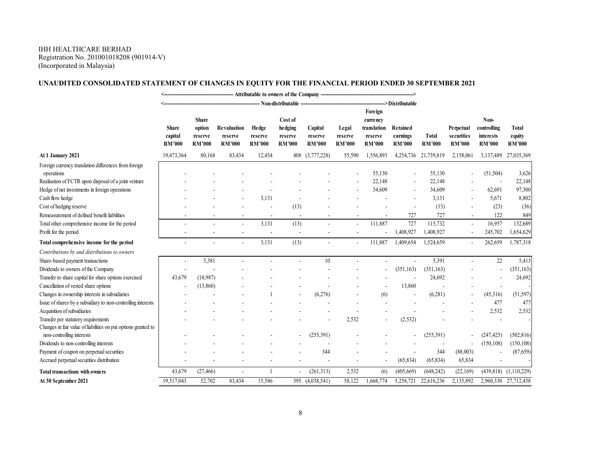#### IHH HEALTHCARE BERHAD Registration No. 201001018208 (901914-V) (Incorporated in Malaysia)

# **UNAUDITED CONSOLIDATED STATEMENT OF CHANGES IN EQUITY FOR THE FINANCIAL PERIOD ENDED 30 SEPTEMBER 2021**

|                                                                                                                                                                               |                                          |                                                    |                                         |                                   | - Attributable to owners of the Company ---    |                                     |                                   |                                                                |                                       |                               |                                          |                                                   |                                         |
|-------------------------------------------------------------------------------------------------------------------------------------------------------------------------------|------------------------------------------|----------------------------------------------------|-----------------------------------------|-----------------------------------|------------------------------------------------|-------------------------------------|-----------------------------------|----------------------------------------------------------------|---------------------------------------|-------------------------------|------------------------------------------|---------------------------------------------------|-----------------------------------------|
|                                                                                                                                                                               |                                          | Non-distributable<br>-->Distributable              |                                         |                                   |                                                |                                     |                                   |                                                                |                                       |                               |                                          |                                                   |                                         |
|                                                                                                                                                                               | <b>Share</b><br>capital<br><b>RM'000</b> | <b>Share</b><br>option<br>reserve<br><b>RM'000</b> | Revaluation<br>reserve<br><b>RM'000</b> | Hedge<br>reserve<br><b>RM'000</b> | Cost of<br>hedging<br>reserve<br><b>RM'000</b> | Capital<br>reserve<br><b>RM'000</b> | Legal<br>reserve<br><b>RM'000</b> | Foreign<br>currency<br>translation<br>reserve<br><b>RM'000</b> | Retained<br>earnings<br><b>RM'000</b> | <b>Total</b><br><b>RM'000</b> | Perpetual<br>securities<br><b>RM'000</b> | Non-<br>controlling<br>interests<br><b>RM'000</b> | <b>Total</b><br>equity<br><b>RM'000</b> |
| At 1 January 2021                                                                                                                                                             | 19,473,364                               | 80,168                                             | 83,434                                  | 12,454                            |                                                | 408 (3,777,228)                     | 55,590                            | 1,556,893                                                      | 4,254,736                             | 21,739,819                    | 2,158,061                                | 3,137,489                                         | 27,035,369                              |
| Foreign currency translation differences from foreign<br>operations<br>Realisation of FCTR upon disposal of a joint venture<br>Hedge of net investments in foreign operations |                                          |                                                    |                                         |                                   |                                                |                                     |                                   | 55,130<br>22,148<br>34,609                                     |                                       | 55,130<br>22,148<br>34,609    |                                          | (51, 504)<br>62,691                               | 3,626<br>22,148<br>97,300               |
| Cash flow hedge                                                                                                                                                               |                                          |                                                    |                                         | 3,131                             |                                                |                                     |                                   |                                                                |                                       | 3,131                         |                                          | 5,671                                             | 8,802                                   |
| Cost of hedging reserve                                                                                                                                                       |                                          |                                                    |                                         |                                   | (13)                                           |                                     |                                   |                                                                |                                       | (13)                          |                                          | (23)                                              | (36)                                    |
| Remeasurement of defined benefit liabilities                                                                                                                                  |                                          |                                                    |                                         |                                   | ÷.                                             |                                     |                                   |                                                                | 727                                   | 727                           |                                          | 122                                               | 849                                     |
| Total other comprehensive income for the period                                                                                                                               |                                          |                                                    |                                         | 3,131                             | (13)                                           |                                     |                                   | 111,887                                                        | 727                                   | 115,732                       |                                          | 16,957                                            | 132,689                                 |
| Profit for the period                                                                                                                                                         |                                          |                                                    |                                         |                                   |                                                |                                     |                                   |                                                                | 1,408,927                             | 1,408,927                     |                                          | 245,702                                           | 1,654,629                               |
| Total comprehensive income for the period                                                                                                                                     |                                          |                                                    | ä,                                      | 3,131                             | (13)                                           |                                     |                                   | 111,887                                                        | 1,409,654                             | 1,524,659                     |                                          | 262,659                                           | 1,787,318                               |
| Contributions by and distributions to owners                                                                                                                                  |                                          |                                                    |                                         |                                   |                                                |                                     |                                   |                                                                |                                       |                               |                                          |                                                   |                                         |
| Share-based payment transactions                                                                                                                                              |                                          | 5,381                                              |                                         |                                   |                                                | 10                                  |                                   |                                                                |                                       | 5,391                         |                                          | 22                                                | 5,413                                   |
| Dividends to owners of the Company                                                                                                                                            |                                          |                                                    |                                         |                                   |                                                |                                     |                                   |                                                                | (351, 163)                            | (351, 163)                    |                                          |                                                   | (351, 163)                              |
| Transfer to share capital for share options exercised                                                                                                                         | 43,679                                   | (18,987)                                           |                                         |                                   |                                                |                                     |                                   |                                                                |                                       | 24,692                        |                                          |                                                   | 24,692                                  |
| Cancellation of vested share options                                                                                                                                          |                                          | (13,860)                                           |                                         |                                   |                                                |                                     |                                   |                                                                | 13,860                                |                               |                                          |                                                   |                                         |
| Changes in ownership interests in subsidiaries                                                                                                                                |                                          |                                                    |                                         |                                   |                                                | (6,276)                             |                                   | (6)                                                            |                                       | (6,281)                       |                                          | (45,316)                                          | (51, 597)                               |
| Issue of shares by a subsidiary to non-controlling interests                                                                                                                  |                                          |                                                    |                                         |                                   |                                                |                                     |                                   |                                                                |                                       |                               |                                          | 477                                               | 477                                     |
| Acquisition of subsidiaries                                                                                                                                                   |                                          |                                                    |                                         |                                   |                                                |                                     |                                   |                                                                |                                       |                               |                                          | 2.532                                             | 2,532                                   |
| Transfer per statutory requirements<br>Changes in fair value of liabilities on put options granted to                                                                         |                                          |                                                    |                                         |                                   |                                                |                                     | 2,532                             |                                                                | (2, 532)                              |                               |                                          |                                                   |                                         |
| non-controlling interests                                                                                                                                                     |                                          |                                                    |                                         |                                   |                                                | (255,391)                           |                                   |                                                                |                                       | (255, 391)                    |                                          | (247, 425)                                        | (502, 816)                              |
| Dividends to non-controlling interests                                                                                                                                        |                                          |                                                    |                                         |                                   |                                                |                                     |                                   |                                                                |                                       |                               |                                          | (150, 108)                                        | (150, 108)                              |
| Payment of coupon on perpetual securities                                                                                                                                     |                                          |                                                    |                                         |                                   |                                                | 344                                 |                                   |                                                                |                                       | 344                           | (88,003)                                 |                                                   | (87, 659)                               |
| Accrued perpetual securities distribution                                                                                                                                     |                                          |                                                    |                                         |                                   |                                                |                                     |                                   |                                                                | (65, 834)                             | (65, 834)                     | 65,834                                   |                                                   |                                         |
| <b>Total transactions with owners</b>                                                                                                                                         | 43,679                                   | (27, 466)                                          | $\sim$                                  |                                   |                                                | (261,313)                           | 2,532                             | (6)                                                            | (405, 669)                            | (648, 242)                    | (22,169)                                 | (439, 818)                                        | (1,110,229)                             |
| At 30 September 2021                                                                                                                                                          | 19,517,043                               | 52,702                                             | 83,434                                  | 15,586                            |                                                | 395 (4,038,541)                     | 58,122                            | 1,668,774                                                      | 5,258,721                             | 22,616,236                    | 2,135,892                                |                                                   | 2,960,330 27,712,458                    |
|                                                                                                                                                                               |                                          |                                                    |                                         |                                   |                                                |                                     |                                   |                                                                |                                       |                               |                                          |                                                   |                                         |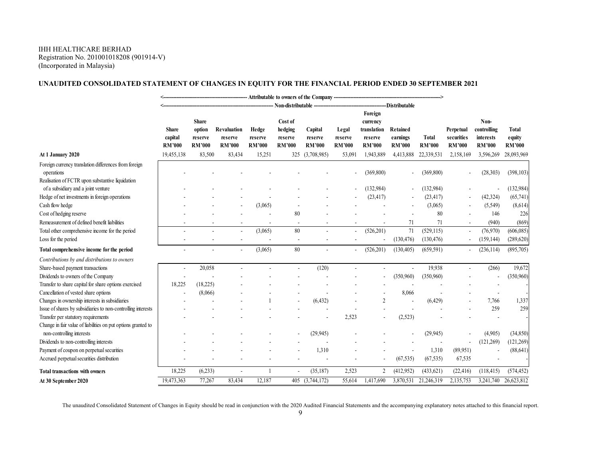#### IHH HEALTHCARE BERHAD Registration No. 201001018208 (901914-V) (Incorporated in Malaysia)

# **UNAUDITED CONSOLIDATED STATEMENT OF CHANGES IN EQUITY FOR THE FINANCIAL PERIOD ENDED 30 SEPTEMBER 2021**

|                                                               |                                          |                                    |                                         |                                   |                                     | Attributable to owners of the Company - |                                   |                                         |                                       |                               |                                          |                                           |                                         |
|---------------------------------------------------------------|------------------------------------------|------------------------------------|-----------------------------------------|-----------------------------------|-------------------------------------|-----------------------------------------|-----------------------------------|-----------------------------------------|---------------------------------------|-------------------------------|------------------------------------------|-------------------------------------------|-----------------------------------------|
|                                                               |                                          |                                    |                                         |                                   | Non-distributable                   |                                         |                                   |                                         | -Distributable                        |                               |                                          |                                           |                                         |
|                                                               |                                          | <b>Share</b>                       |                                         |                                   | Cost of                             |                                         |                                   | Foreign<br>currency                     |                                       |                               |                                          | Non-                                      |                                         |
|                                                               | <b>Share</b><br>capital<br><b>RM'000</b> | option<br>reserve<br><b>RM'000</b> | Revaluation<br>reserve<br><b>RM'000</b> | Hedge<br>reserve<br><b>RM'000</b> | hedging<br>reserve<br><b>RM'000</b> | Capital<br>reserve<br><b>RM'000</b>     | Legal<br>reserve<br><b>RM'000</b> | translation<br>reserve<br><b>RM'000</b> | Retained<br>earnings<br><b>RM'000</b> | <b>Total</b><br><b>RM'000</b> | Perpetual<br>securities<br><b>RM'000</b> | controlling<br>interests<br><b>RM'000</b> | <b>Total</b><br>equity<br><b>RM'000</b> |
| At 1 January 2020                                             | 19,455,138                               | 83,500                             | 83,434                                  | 15,251                            | 325                                 | (3,708,985)                             | 53,091                            | 1,943,889                               | 4,413,888                             | 22,339,531                    | 2,158,169                                | 3,596,269                                 | 28,093,969                              |
| Foreign currency translation differences from foreign         |                                          |                                    |                                         |                                   |                                     |                                         |                                   |                                         |                                       |                               |                                          |                                           |                                         |
| operations                                                    |                                          |                                    |                                         |                                   |                                     |                                         |                                   | (369, 800)                              |                                       | (369, 800)                    |                                          | (28, 303)                                 | (398, 103)                              |
| Realisation of FCTR upon substantive liquidation              |                                          |                                    |                                         |                                   |                                     |                                         |                                   |                                         |                                       |                               |                                          |                                           |                                         |
| of a subsidiary and a joint venture                           |                                          |                                    |                                         |                                   |                                     |                                         |                                   | (132, 984)                              |                                       | (132, 984)                    |                                          |                                           | (132, 984)                              |
| Hedge of net investments in foreign operations                |                                          |                                    |                                         |                                   |                                     |                                         |                                   | (23, 417)                               |                                       | (23, 417)                     |                                          | (42, 324)                                 | (65,741)                                |
| Cash flow hedge                                               |                                          |                                    |                                         | (3,065)                           |                                     |                                         |                                   |                                         |                                       | (3,065)                       |                                          | (5,549)                                   | (8,614)                                 |
| Cost of hedging reserve                                       |                                          |                                    |                                         |                                   | 80                                  |                                         |                                   |                                         |                                       | 80                            |                                          | 146                                       | 226                                     |
| Remeasurement of defined benefit liabilities                  |                                          |                                    |                                         |                                   | $\overline{a}$                      |                                         |                                   |                                         | 71                                    | 71                            |                                          | (940)                                     | (869)                                   |
| Total other comprehensive income for the period               |                                          |                                    |                                         | (3,065)                           | 80                                  |                                         |                                   | (526, 201)                              | 71                                    | (529, 115)                    |                                          | (76,970)                                  | (606, 085)                              |
| Loss for the period                                           |                                          |                                    |                                         |                                   | $\blacksquare$                      |                                         |                                   |                                         | (130, 476)                            | (130, 476)                    | $\overline{\phantom{a}}$                 | (159, 144)                                | (289, 620)                              |
| Total comprehensive income for the period                     |                                          |                                    |                                         | (3,065)                           | 80                                  |                                         |                                   | (526, 201)                              | (130, 405)                            | (659, 591)                    |                                          | (236, 114)                                | (895,705)                               |
| Contributions by and distributions to owners                  |                                          |                                    |                                         |                                   |                                     |                                         |                                   |                                         |                                       |                               |                                          |                                           |                                         |
| Share-based payment transactions                              |                                          | 20,058                             |                                         |                                   |                                     | (120)                                   |                                   |                                         |                                       | 19,938                        |                                          | (266)                                     | 19,672                                  |
| Dividends to owners of the Company                            |                                          |                                    |                                         |                                   |                                     |                                         |                                   |                                         | (350,960)                             | (350,960)                     |                                          |                                           | (350,960)                               |
| Transfer to share capital for share options exercised         | 18,225                                   | (18, 225)                          |                                         |                                   |                                     |                                         |                                   |                                         |                                       |                               |                                          |                                           |                                         |
| Cancellation of vested share options                          |                                          | (8,066)                            |                                         |                                   |                                     |                                         |                                   |                                         | 8,066                                 |                               |                                          |                                           |                                         |
| Changes in ownership interests in subsidiaries                |                                          |                                    |                                         |                                   |                                     | (6, 432)                                |                                   | $\overline{2}$                          |                                       | (6, 429)                      |                                          | 7,766                                     | 1,337                                   |
| Issue of shares by subsidiaries to non-controlling interests  |                                          |                                    |                                         |                                   |                                     |                                         |                                   |                                         |                                       |                               |                                          | 259                                       | 259                                     |
| Transfer per statutory requirements                           |                                          |                                    |                                         |                                   |                                     |                                         | 2,523                             |                                         | (2,523)                               |                               |                                          |                                           |                                         |
| Change in fair value of liabilities on put options granted to |                                          |                                    |                                         |                                   |                                     |                                         |                                   |                                         |                                       |                               |                                          |                                           |                                         |
| non-controlling interests                                     |                                          |                                    |                                         |                                   |                                     | (29, 945)                               |                                   |                                         |                                       | (29, 945)                     |                                          | (4,905)                                   | (34, 850)                               |
| Dividends to non-controlling interests                        |                                          |                                    |                                         |                                   |                                     |                                         |                                   |                                         |                                       |                               |                                          | (121, 269)                                | (121, 269)                              |
| Payment of coupon on perpetual securities                     |                                          |                                    |                                         |                                   |                                     | 1,310                                   |                                   |                                         |                                       | 1,310                         | (89,951)                                 |                                           | (88, 641)                               |
| Accrued perpetual securities distribution                     |                                          |                                    |                                         |                                   |                                     |                                         |                                   |                                         | (67, 535)                             | (67, 535)                     | 67,535                                   |                                           |                                         |
| <b>Total transactions with owners</b>                         | 18,225                                   | (6,233)                            |                                         |                                   |                                     | (35, 187)                               | 2,523                             | 2                                       | (412,952)                             | (433, 621)                    | (22, 416)                                | (118, 415)                                | (574, 452)                              |
| At 30 September 2020                                          | 19,473,363                               | 77.267                             | 83.434                                  | 12,187                            |                                     | 405 (3,744,172)                         | 55,614                            | 1,417,690                               | 3,870,531                             | 21,246,319                    | 2,135,753                                | 3,241,740                                 | 26,623,812                              |

The unaudited Consolidated Statement of Changes in Equity should be read in conjunction with the 2020 Audited Financial Statements and the accompanying explanatory notes attached to this financial report.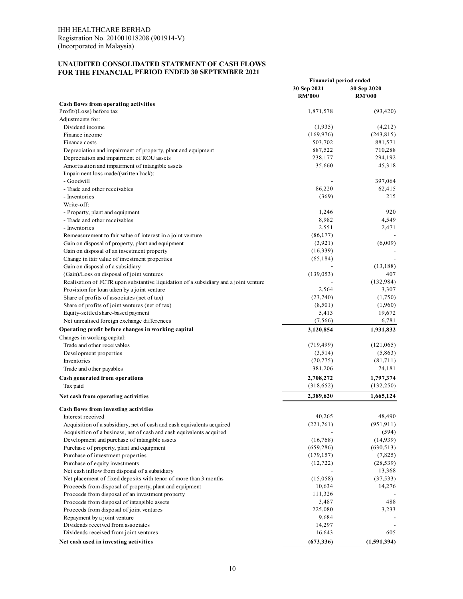#### **UNAUDITED CONSOLIDATED STATEMENT OF CASH FLOWS FOR THE FINANCIAL PERIOD ENDED 30 SEPTEMBER 2021**

|                                                                                      | Financial period ended       |                              |  |
|--------------------------------------------------------------------------------------|------------------------------|------------------------------|--|
|                                                                                      | 30 Sep 2021<br><b>RM'000</b> | 30 Sep 2020<br><b>RM'000</b> |  |
| Cash flows from operating activities                                                 |                              |                              |  |
| Profit/(Loss) before tax                                                             | 1,871,578                    | (93, 420)                    |  |
| Adjustments for:                                                                     |                              |                              |  |
| Dividend income                                                                      | (1,935)                      | (4,212)                      |  |
| Finance income                                                                       | (169, 976)                   | (243, 815)                   |  |
| Finance costs                                                                        | 503,702                      | 881,571                      |  |
| Depreciation and impairment of property, plant and equipment                         | 887,522                      | 710,288                      |  |
| Depreciation and impairment of ROU assets                                            | 238,177                      | 294,192                      |  |
| Amortisation and impairment of intangible assets                                     | 35,660                       | 45,318                       |  |
| Impairment loss made/(written back):                                                 |                              |                              |  |
| - Goodwill                                                                           |                              | 397,064                      |  |
| - Trade and other receivables                                                        | 86,220                       | 62,415                       |  |
| - Inventories                                                                        | (369)                        | 215                          |  |
| Write-off:                                                                           |                              |                              |  |
| - Property, plant and equipment                                                      | 1,246                        | 920                          |  |
| - Trade and other receivables                                                        | 8,982                        | 4,549                        |  |
| - Inventories                                                                        | 2,551                        | 2,471                        |  |
| Remeasurement to fair value of interest in a joint venture                           | (86,177)                     |                              |  |
| Gain on disposal of property, plant and equipment                                    | (3,921)                      | (6,009)                      |  |
| Gain on disposal of an investment property                                           | (16,339)                     |                              |  |
| Change in fair value of investment properties                                        | (65, 184)                    |                              |  |
| Gain on disposal of a subsidiary                                                     |                              | (13, 188)                    |  |
| (Gain)/Loss on disposal of joint ventures                                            | (139, 053)                   | 407                          |  |
| Realisation of FCTR upon substantive liquidation of a subsidiary and a joint venture |                              | (132,984)                    |  |
| Provision for loan taken by a joint venture                                          | 2,564                        | 3,307                        |  |
| Share of profits of associates (net of tax)                                          | (23,740)                     | (1,750)                      |  |
| Share of profits of joint ventures (net of tax)                                      | (8,501)                      | (1,960)                      |  |
| Equity-settled share-based payment                                                   | 5,413                        | 19,672                       |  |
| Net unrealised foreign exchange differences                                          | (7, 566)                     | 6,781                        |  |
| Operating profit before changes in working capital                                   | 3,120,854                    | 1,931,832                    |  |
| Changes in working capital:                                                          |                              |                              |  |
| Trade and other receivables                                                          | (719, 499)                   | (121,065)                    |  |
| Development properties                                                               | (3,514)                      | (5,863)                      |  |
| Inventories                                                                          | (70, 775)                    | (81,711)                     |  |
| Trade and other payables                                                             | 381,206                      | 74,181                       |  |
| <b>Cash generated from operations</b>                                                | 2,708,272                    | 1,797,374                    |  |
| Tax paid                                                                             | (318,652)                    | (132,250)                    |  |
| Net cash from operating activities                                                   | 2,389,620                    | 1,665,124                    |  |
| Cash flows from investing activities                                                 |                              |                              |  |
| Interest received                                                                    | 40,265                       | 48,490                       |  |
| Acquisition of a subsidiary, net of cash and cash equivalents acquired               | (221,761)                    | (951, 911)                   |  |
| Acquisition of a business, net of cash and cash equivalents acquired                 |                              | (594)                        |  |
| Development and purchase of intangible assets                                        | (16,768)                     | (14,939)                     |  |
| Purchase of property, plant and equipment                                            | (659, 286)                   | (630,513)                    |  |
| Purchase of investment properties                                                    | (179, 157)                   | (7,825)                      |  |
| Purchase of equity investments                                                       | (12, 722)                    | (28, 539)                    |  |
| Net cash inflow from disposal of a subsidiary                                        |                              | 13,368                       |  |
| Net placement of fixed deposits with tenor of more than 3 months                     | (15,058)                     | (37, 533)                    |  |
| Proceeds from disposal of property, plant and equipment                              | 10,634                       | 14,276                       |  |
| Proceeds from disposal of an investment property                                     | 111,326                      |                              |  |
| Proceeds from disposal of intangible assets                                          | 3,487                        | 488                          |  |
| Proceeds from disposal of joint ventures                                             | 225,080                      | 3,233                        |  |
| Repayment by a joint venture                                                         | 9,684                        |                              |  |
| Dividends received from associates                                                   | 14,297                       |                              |  |
| Dividends received from joint ventures                                               | 16,643                       | 605                          |  |
| Net cash used in investing activities                                                | (673, 336)                   | (1,591,394)                  |  |
|                                                                                      |                              |                              |  |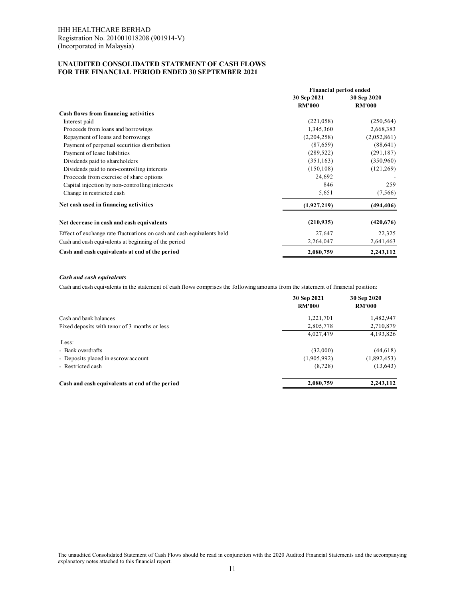#### **UNAUDITED CONSOLIDATED STATEMENT OF CASH FLOWS FOR THE FINANCIAL PERIOD ENDED 30 SEPTEMBER 2021**

|                                                                        | Financial period ended |               |
|------------------------------------------------------------------------|------------------------|---------------|
|                                                                        | 30 Sep 2021            | 30 Sep 2020   |
|                                                                        | <b>RM'000</b>          | <b>RM'000</b> |
| Cash flows from financing activities                                   |                        |               |
| Interest paid                                                          | (221,058)              | (250, 564)    |
| Proceeds from loans and borrowings                                     | 1,345,360              | 2,668,383     |
| Repayment of loans and borrowings                                      | (2,204,258)            | (2,052,861)   |
| Payment of perpetual securities distribution                           | (87,659)               | (88, 641)     |
| Payment of lease liabilities                                           | (289, 522)             | (291, 187)    |
| Dividends paid to shareholders                                         | (351, 163)             | (350,960)     |
| Dividends paid to non-controlling interests                            | (150, 108)             | (121, 269)    |
| Proceeds from exercise of share options                                | 24,692                 |               |
| Capital injection by non-controlling interests                         | 846                    | 259           |
| Change in restricted cash                                              | 5,651                  | (7,566)       |
| Net cash used in financing activities                                  | (1,927,219)            | (494, 406)    |
| Net decrease in cash and cash equivalents                              | (210, 935)             | (420, 676)    |
| Effect of exchange rate fluctuations on cash and cash equivalents held | 27,647                 | 22,325        |
| Cash and cash equivalents at beginning of the period                   | 2,264,047              | 2,641,463     |
| Cash and cash equivalents at end of the period                         | 2,080,759              | 2,243,112     |

#### *Cash and cash equivalents*

Cash and cash equivalents in the statement of cash flows comprises the following amounts from the statement of financial position:

| 30 Sep 2021<br><b>RM'000</b> | 30 Sep 2020<br><b>RM'000</b> |
|------------------------------|------------------------------|
| 1.221.701                    | 1,482,947                    |
| 2,805,778                    | 2,710,879                    |
| 4,027,479                    | 4,193,826                    |
|                              |                              |
| (32,000)                     | (44, 618)                    |
| (1,905,992)                  | (1,892,453)                  |
| (8, 728)                     | (13, 643)                    |
| 2,080,759                    | 2,243,112                    |
|                              |                              |

The unaudited Consolidated Statement of Cash Flows should be read in conjunction with the 2020 Audited Financial Statements and the accompanying explanatory notes attached to this financial report.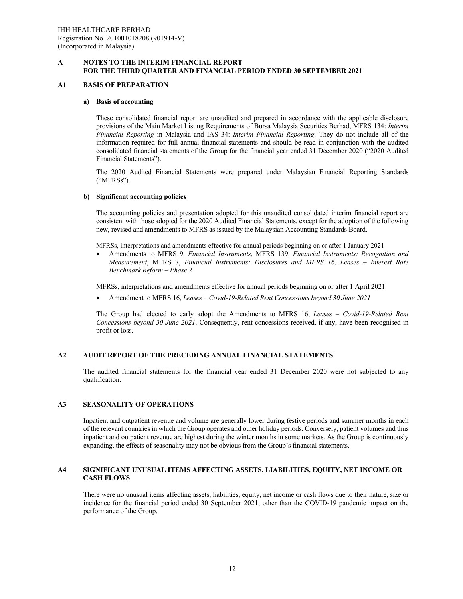#### **A1 BASIS OF PREPARATION**

#### **a) Basis of accounting**

These consolidated financial report are unaudited and prepared in accordance with the applicable disclosure provisions of the Main Market Listing Requirements of Bursa Malaysia Securities Berhad, MFRS 134: *Interim Financial Reporting* in Malaysia and IAS 34: *Interim Financial Reporting*. They do not include all of the information required for full annual financial statements and should be read in conjunction with the audited consolidated financial statements of the Group for the financial year ended 31 December 2020 ("2020 Audited Financial Statements").

The 2020 Audited Financial Statements were prepared under Malaysian Financial Reporting Standards ("MFRSs").

#### **b) Significant accounting policies**

The accounting policies and presentation adopted for this unaudited consolidated interim financial report are consistent with those adopted for the 2020 Audited Financial Statements, except for the adoption of the following new, revised and amendments to MFRS as issued by the Malaysian Accounting Standards Board.

MFRSs, interpretations and amendments effective for annual periods beginning on or after 1 January 2021

 Amendments to MFRS 9, *Financial Instruments*, MFRS 139, *Financial Instruments: Recognition and Measurement*, MFRS 7, *Financial Instruments: Disclosures and MFRS 16, Leases – Interest Rate Benchmark Reform – Phase 2*

MFRSs, interpretations and amendments effective for annual periods beginning on or after 1 April 2021

Amendment to MFRS 16, *Leases – Covid-19-Related Rent Concessions beyond 30 June 2021* 

The Group had elected to early adopt the Amendments to MFRS 16, *Leases – Covid-19-Related Rent Concessions beyond 30 June 2021*. Consequently, rent concessions received, if any, have been recognised in profit or loss.

#### **A2 AUDIT REPORT OF THE PRECEDING ANNUAL FINANCIAL STATEMENTS**

The audited financial statements for the financial year ended 31 December 2020 were not subjected to any qualification.

#### **A3 SEASONALITY OF OPERATIONS**

Inpatient and outpatient revenue and volume are generally lower during festive periods and summer months in each of the relevant countries in which the Group operates and other holiday periods. Conversely, patient volumes and thus inpatient and outpatient revenue are highest during the winter months in some markets. As the Group is continuously expanding, the effects of seasonality may not be obvious from the Group's financial statements.

#### **A4 SIGNIFICANT UNUSUAL ITEMS AFFECTING ASSETS, LIABILITIES, EQUITY, NET INCOME OR CASH FLOWS**

There were no unusual items affecting assets, liabilities, equity, net income or cash flows due to their nature, size or incidence for the financial period ended 30 September 2021, other than the COVID-19 pandemic impact on the performance of the Group.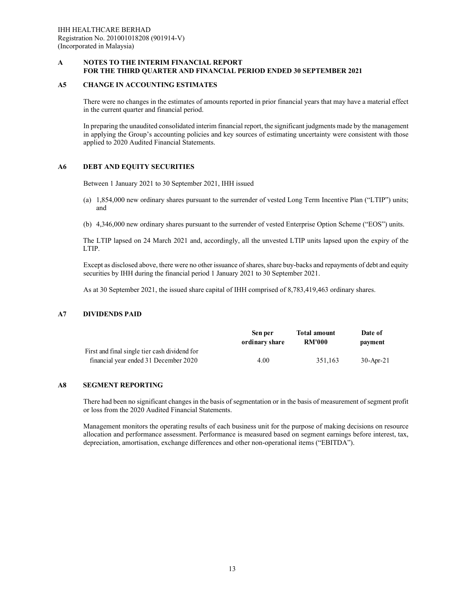#### **A5 CHANGE IN ACCOUNTING ESTIMATES**

There were no changes in the estimates of amounts reported in prior financial years that may have a material effect in the current quarter and financial period.

In preparing the unaudited consolidated interim financial report, the significant judgments made by the management in applying the Group's accounting policies and key sources of estimating uncertainty were consistent with those applied to 2020 Audited Financial Statements.

#### **A6 DEBT AND EQUITY SECURITIES**

Between 1 January 2021 to 30 September 2021, IHH issued

- (a) 1,854,000 new ordinary shares pursuant to the surrender of vested Long Term Incentive Plan ("LTIP") units; and
- (b) 4,346,000 new ordinary shares pursuant to the surrender of vested Enterprise Option Scheme ("EOS") units.

The LTIP lapsed on 24 March 2021 and, accordingly, all the unvested LTIP units lapsed upon the expiry of the LTIP.

Except as disclosed above, there were no other issuance of shares, share buy-backs and repayments of debt and equity securities by IHH during the financial period 1 January 2021 to 30 September 2021.

As at 30 September 2021, the issued share capital of IHH comprised of 8,783,419,463 ordinary shares.

### **A7 DIVIDENDS PAID**

|                                               | Sen per        | <b>Total amount</b> | Date of      |
|-----------------------------------------------|----------------|---------------------|--------------|
|                                               | ordinary share | <b>RM'000</b>       | payment      |
| First and final single tier cash dividend for |                |                     |              |
| financial year ended 31 December 2020         | 4.00           | 351.163             | $30$ -Apr-21 |

#### **A8 SEGMENT REPORTING**

There had been no significant changes in the basis of segmentation or in the basis of measurement of segment profit or loss from the 2020 Audited Financial Statements.

Management monitors the operating results of each business unit for the purpose of making decisions on resource allocation and performance assessment. Performance is measured based on segment earnings before interest, tax, depreciation, amortisation, exchange differences and other non-operational items ("EBITDA").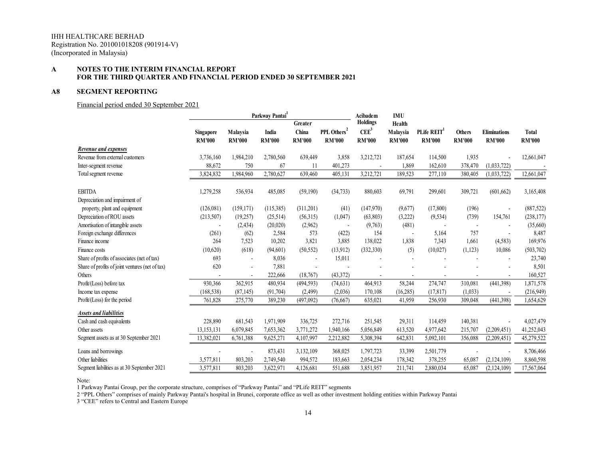#### **A8 SEGMENT REPORTING**

Financial period ended 30 September 2021

|                                                 | Parkway Pantai <sup>1</sup> |               |               |               |                         | Acibadem         | <b>IMU</b>    |                         |               |                          |               |
|-------------------------------------------------|-----------------------------|---------------|---------------|---------------|-------------------------|------------------|---------------|-------------------------|---------------|--------------------------|---------------|
|                                                 |                             |               |               | Greater       |                         | <b>Holdings</b>  | Health        |                         |               |                          |               |
|                                                 | Singapore                   | Malaysia      | India         | China         | PPL Others <sup>2</sup> | CEE <sup>3</sup> | Malaysia      | PLife REIT <sup>1</sup> | Others        | <b>Eliminations</b>      | <b>Total</b>  |
|                                                 | <b>RM'000</b>               | <b>RM'000</b> | <b>RM'000</b> | <b>RM'000</b> | <b>RM'000</b>           | <b>RM'000</b>    | <b>RM'000</b> | <b>RM'000</b>           | <b>RM'000</b> | <b>RM'000</b>            | <b>RM'000</b> |
| Revenue and expenses                            |                             |               |               |               |                         |                  |               |                         |               |                          |               |
| Revenue from external customers                 | 3,736,160                   | 1,984,210     | 2,780,560     | 639,449       | 3,858                   | 3,212,721        | 187,654       | 114,500                 | 1,935         |                          | 12,661,047    |
| Inter-segment revenue                           | 88,672                      | 750           | 67            | 11            | 401,273                 |                  | 1,869         | 162,610                 | 378,470       | (1,033,722)              |               |
| Total segment revenue                           | 3,824,832                   | 1,984,960     | 2,780,627     | 639,460       | 405,131                 | 3,212,721        | 189,523       | 277,110                 | 380,405       | (1,033,722)              | 12,661,047    |
| <b>EBITDA</b>                                   | 1,279,258                   | 536,934       | 485,085       | (59,190)      | (34, 733)               | 880,603          | 69,791        | 299,601                 | 309,721       | (601, 662)               | 3,165,408     |
| Depreciation and impairment of                  |                             |               |               |               |                         |                  |               |                         |               |                          |               |
| property, plant and equipment                   | (126,081)                   | (159, 171)    | (115,385)     | (311,201)     | (41)                    | (147,970)        | (9,677)       | (17,800)                | (196)         |                          | (887, 522)    |
| Depreciation of ROU assets                      | (213,507)                   | (19,257)      | (25,514)      | (56,315)      | (1,047)                 | (63,803)         | (3,222)       | (9, 534)                | (739)         | 154,761                  | (238, 177)    |
| Amortisation of intangible assets               |                             | (2, 434)      | (20,020)      | (2,962)       |                         | (9,763)          | (481)         |                         |               | $\overline{\phantom{a}}$ | (35,660)      |
| Foreign exchange differences                    | (261)                       | (62)          | 2,584         | 573           | (422)                   | 154              |               | 5,164                   | 757           |                          | 8,487         |
| Finance income                                  | 264                         | 7,523         | 10,202        | 3,821         | 3,885                   | 138,022          | 1,838         | 7,343                   | 1,661         | (4,583)                  | 169,976       |
| Finance costs                                   | (10,620)                    | (618)         | (94, 601)     | (50, 552)     | (13,912)                | (332, 330)       | (5)           | (10,027)                | (1,123)       | 10,086                   | (503, 702)    |
| Share of profits of associates (net of tax)     | 693                         |               | 8,036         |               | 15,011                  |                  |               |                         |               |                          | 23,740        |
| Share of profits of joint ventures (net of tax) | 620                         |               | 7,881         |               |                         |                  |               |                         |               |                          | 8,501         |
| Others                                          |                             |               | 222,666       | (18, 767)     | (43,372)                |                  |               |                         |               |                          | 160,527       |
| Profit/(Loss) before tax                        | 930,366                     | 362,915       | 480,934       | (494, 593)    | (74, 631)               | 464,913          | 58,244        | 274,747                 | 310,081       | (441, 398)               | 1,871,578     |
| Income tax expense                              | (168, 538)                  | (87, 145)     | (91,704)      | (2, 499)      | (2,036)                 | 170,108          | (16, 285)     | (17, 817)               | (1,033)       |                          | (216,949)     |
| Profit/(Loss) for the period                    | 761,828                     | 275,770       | 389,230       | (497,092)     | (76, 667)               | 635,021          | 41,959        | 256,930                 | 309,048       | (441, 398)               | 1,654,629     |
| <b>Assets and liabilities</b>                   |                             |               |               |               |                         |                  |               |                         |               |                          |               |
| Cash and cash equivalents                       | 228,890                     | 681,543       | 1,971,909     | 336,725       | 272,716                 | 251,545          | 29,311        | 114,459                 | 140,381       |                          | 4,027,479     |
| Other assets                                    | 13,153,131                  | 6,079,845     | 7,653,362     | 3,771,272     | 1,940,166               | 5,056,849        | 613,520       | 4,977,642               | 215,707       | (2,209,451)              | 41,252,043    |
| Segment assets as at 30 September 2021          | 13,382,021                  | 6,761,388     | 9,625,271     | 4,107,997     | 2,212,882               | 5,308,394        | 642,831       | 5,092,101               | 356,088       | (2,209,451)              | 45,279,522    |
| Loans and borrowings                            |                             |               | 873,431       | 3,132,109     | 368,025                 | 1,797,723        | 33,399        | 2,501,779               |               |                          | 8,706,466     |
| Other liabilities                               | 3,577,811                   | 803,203       | 2,749,540     | 994,572       | 183,663                 | 2,054,234        | 178,342       | 378,255                 | 65,087        | (2,124,109)              | 8,860,598     |
| Segment liabilities as at 30 September 2021     | 3,577,811                   | 803,203       | 3,622,971     | 4,126,681     | 551,688                 | 3,851,957        | 211,741       | 2,880,034               | 65,087        | (2,124,109)              | 17,567,064    |

Note:

1 Parkway Pantai Group, per the corporate structure, comprises of "Parkway Pantai" and "PLife REIT" segments

2 "PPL Others" comprises of mainly Parkway Pantai's hospital in Brunei, corporate office as well as other investment holding entities within Parkway Pantai

3 "CEE" refers to Central and Eastern Europe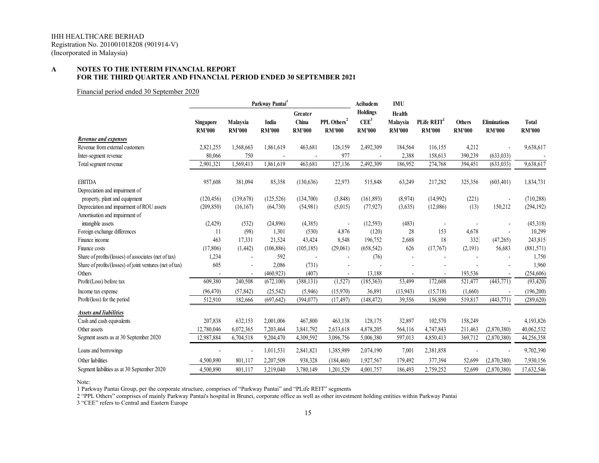Financial period ended 30 September 2020

|                                                          | Parkway Pantai             |                           |                        |                        |                                          | Acibadem                          | <b>IMU</b>                |                                          |                                |                                      |                               |
|----------------------------------------------------------|----------------------------|---------------------------|------------------------|------------------------|------------------------------------------|-----------------------------------|---------------------------|------------------------------------------|--------------------------------|--------------------------------------|-------------------------------|
|                                                          |                            |                           |                        | Greater                |                                          | <b>Holdings</b>                   | Health                    |                                          |                                |                                      |                               |
|                                                          | Singapore<br><b>RM'000</b> | Malaysia<br><b>RM'000</b> | India<br><b>RM'000</b> | China<br><b>RM'000</b> | PPL Others <sup>2</sup><br><b>RM'000</b> | CEE <sup>3</sup><br><b>RM'000</b> | Malaysia<br><b>RM'000</b> | PLife REIT <sup>1</sup><br><b>RM'000</b> | <b>Others</b><br><b>RM'000</b> | <b>Eliminations</b><br><b>RM'000</b> | <b>Total</b><br><b>RM'000</b> |
| Revenue and expenses                                     |                            |                           |                        |                        |                                          |                                   |                           |                                          |                                |                                      |                               |
| Revenue from external customers                          | 2,821,255                  | 1,568,663                 | 1,861,619              | 463,681                | 126,159                                  | 2,492,309                         | 184,564                   | 116,155                                  | 4,212                          |                                      | 9,638,617                     |
| Inter-segment revenue                                    | 80,066                     | 750                       |                        |                        | 977                                      |                                   | 2,388                     | 158,613                                  | 390,239                        | (633, 033)                           |                               |
| Total segment revenue                                    | 2,901,321                  | 1,569,413                 | 1,861,619              | 463,681                | 127,136                                  | 2,492,309                         | 186,952                   | 274,768                                  | 394,451                        | (633,033)                            | 9,638,617                     |
| <b>EBITDA</b>                                            | 957,608                    | 381,094                   | 85,358                 | (130, 636)             | 22,973                                   | 515,848                           | 63,249                    | 217,282                                  | 325,356                        | (603, 401)                           | 1,834,731                     |
| Depreciation and impairment of                           |                            |                           |                        |                        |                                          |                                   |                           |                                          |                                |                                      |                               |
| property, plant and equipment                            | (120, 456)                 | (139,678)                 | (125, 526)             | (134,700)              | (3,848)                                  | (161, 893)                        | (8,974)                   | (14,992)                                 | (221)                          |                                      | (710, 288)                    |
| Depreciation and impairment of ROU assets                | (209, 850)                 | (16, 167)                 | (64, 730)              | (54,981)               | (5,015)                                  | (77, 927)                         | (3,635)                   | (12,086)                                 | (13)                           | 150,212                              | (294, 192)                    |
| Amortisation and impairment of                           |                            |                           |                        |                        |                                          |                                   |                           |                                          |                                |                                      |                               |
| intangible assets                                        | (2, 429)                   | (532)                     | (24,896)               | (4,385)                | ÷.                                       | (12, 593)                         | (483)                     |                                          |                                |                                      | (45,318)                      |
| Foreign exchange differences                             | 11                         | (98)                      | 1,301                  | (530)                  | 4,876                                    | (120)                             | 28                        | 153                                      | 4,678                          |                                      | 10,299                        |
| Finance income                                           | 463                        | 17,331                    | 21,524                 | 43,424                 | 8,548                                    | 196,752                           | 2,688                     | 18                                       | 332                            | (47,265)                             | 243,815                       |
| Finance costs                                            | (17,806)                   | (1, 442)                  | (106, 886)             | (105, 185)             | (29,061)                                 | (658, 542)                        | 626                       | (17,767)                                 | (2,191)                        | 56,683                               | (881, 571)                    |
| Share of profits/(losses) of associates (net of tax)     | 1,234                      |                           | 592                    |                        |                                          | (76)                              |                           |                                          |                                |                                      | 1,750                         |
| Share of profits/(losses) of joint ventures (net of tax) | 605                        |                           | 2,086                  | (731)                  |                                          |                                   |                           |                                          |                                |                                      | 1,960                         |
| Others                                                   |                            |                           | (460, 923)             | (407)                  | $\overline{\phantom{a}}$                 | 13,188                            |                           | $\blacksquare$                           | 193,536                        | $\sim$                               | (254, 606)                    |
| Profit/(Loss) before tax                                 | 609,380                    | 240,508                   | (672, 100)             | (388, 131)             | (1,527)                                  | (185, 363)                        | 53,499                    | 172,608                                  | 521,477                        | (443, 771)                           | (93, 420)                     |
| Income tax expense                                       | (96, 470)                  | (57, 842)                 | (25, 542)              | (5,946)                | (15,970)                                 | 36,891                            | (13, 943)                 | (15,718)                                 | (1,660)                        |                                      | (196, 200)                    |
| Profit/(loss) for the period                             | 512,910                    | 182,666                   | (697, 642)             | (394,077)              | (17, 497)                                | (148, 472)                        | 39,556                    | 156,890                                  | 519,817                        | (443, 771)                           | (289, 620)                    |
| <b>Assets and liabilities</b>                            |                            |                           |                        |                        |                                          |                                   |                           |                                          |                                |                                      |                               |
| Cash and cash equivalents                                | 207,838                    | 632,153                   | 2,001,006              | 467,800                | 463,138                                  | 128,175                           | 32,897                    | 102,570                                  | 158,249                        |                                      | 4,193,826                     |
| Other assets                                             | 12,780,046                 | 6,072,365                 | 7,203,464              | 3,841,792              | 2,633,618                                | 4,878,205                         | 564,116                   | 4,747,843                                | 211,463                        | (2,870,380)                          | 40,062,532                    |
| Segment assets as at 30 September 2020                   | 12,987,884                 | 6,704,518                 | 9,204,470              | 4,309,592              | 3,096,756                                | 5,006,380                         | 597,013                   | 4,850,413                                | 369,712                        | (2,870,380)                          | 44,256,358                    |
| Loans and borrowings                                     |                            |                           | 1,011,531              | 2,841,821              | 1,385,989                                | 2,074,190                         | 7,001                     | 2,381,858                                |                                |                                      | 9,702,390                     |
| Other liabilities                                        | 4,500,890                  | 801,117                   | 2,207,509              | 938,328                | (184, 460)                               | 1,927,567                         | 179,492                   | 377,394                                  | 52,699                         | (2,870,380)                          | 7,930,156                     |
| Segment liabilities as at 30 September 2020              | 4,500,890                  | 801,117                   | 3,219,040              | 3,780,149              | 1,201,529                                | 4,001,757                         | 186,493                   | 2,759,252                                | 52,699                         | (2,870,380)                          | 17,632,546                    |

Note:

1 Parkway Pantai Group, per the corporate structure, comprises of "Parkway Pantai" and "PLife REIT" segments

2 "PPL Others" comprises of mainly Parkway Pantai's hospital in Brunei, corporate office as well as other investment holding entities within Parkway Pantai

3 "CEE" refers to Central and Eastern Europe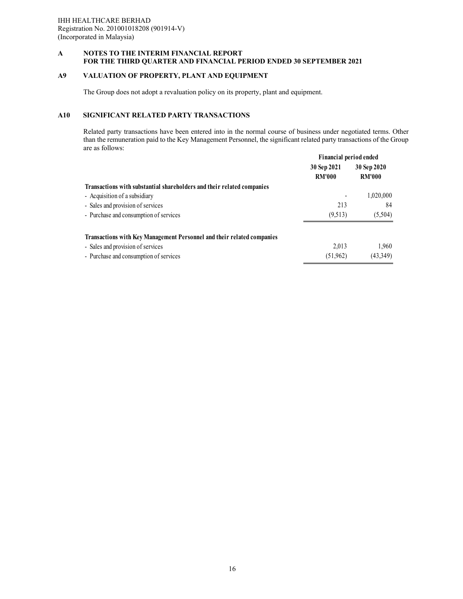# **A9 VALUATION OF PROPERTY, PLANT AND EQUIPMENT**

The Group does not adopt a revaluation policy on its property, plant and equipment.

# **A10 SIGNIFICANT RELATED PARTY TRANSACTIONS**

Related party transactions have been entered into in the normal course of business under negotiated terms. Other than the remuneration paid to the Key Management Personnel, the significant related party transactions of the Group are as follows:

|                                                                        | Financial period ended       |                              |
|------------------------------------------------------------------------|------------------------------|------------------------------|
|                                                                        | 30 Sep 2021<br><b>RM'000</b> | 30 Sep 2020<br><b>RM'000</b> |
| Transactions with substantial shareholders and their related companies |                              |                              |
| - Acquisition of a subsidiary                                          |                              | 1,020,000                    |
| - Sales and provision of services                                      | 213                          | 84                           |
| - Purchase and consumption of services                                 | (9,513)                      | (5,504)                      |
| Transactions with Key Management Personnel and their related companies |                              |                              |
| - Sales and provision of services                                      | 2.013                        | 1,960                        |
| - Purchase and consumption of services                                 | (51,962)                     | (43,349)                     |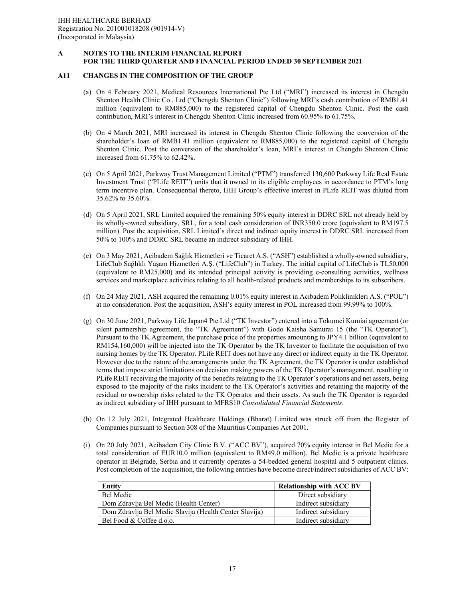#### **A11 CHANGES IN THE COMPOSITION OF THE GROUP**

- (a) On 4 February 2021, Medical Resources International Pte Ltd ("MRI") increased its interest in Chengdu Shenton Health Clinic Co., Ltd ("Chengdu Shenton Clinic") following MRI's cash contribution of RMB1.41 million (equivalent to RM885,000) to the registered capital of Chengdu Shenton Clinic. Post the cash contribution, MRI's interest in Chengdu Shenton Clinic increased from 60.95% to 61.75%.
- (b) On 4 March 2021, MRI increased its interest in Chengdu Shenton Clinic following the conversion of the shareholder's loan of RMB1.41 million (equivalent to RM885,000) to the registered capital of Chengdu Shenton Clinic. Post the conversion of the shareholder's loan, MRI's interest in Chengdu Shenton Clinic increased from 61.75% to 62.42%.
- (c) On 5 April 2021, Parkway Trust Management Limited ("PTM") transferred 130,600 Parkway Life Real Estate Investment Trust ("PLife REIT") units that it owned to its eligible employees in accordance to PTM's long term incentive plan. Consequential thereto, IHH Group's effective interest in PLife REIT was diluted from 35.62% to 35.60%.
- (d) On 5 April 2021, SRL Limited acquired the remaining 50% equity interest in DDRC SRL not already held by its wholly-owned subsidiary, SRL, for a total cash consideration of INR350.0 crore (equivalent to RM197.5 million). Post the acquisition, SRL Limited's direct and indirect equity interest in DDRC SRL increased from 50% to 100% and DDRC SRL became an indirect subsidiary of IHH.
- (e) On 3 May 2021, Acibadem Sağlık Hizmetleri ve Ticaret A.S. ("ASH") established a wholly-owned subsidiary, LifeClub Sağlıklı Yaşam Hizmetleri A.Ş. ("LifeClub") in Turkey. The initial capital of LifeClub is TL50,000 (equivalent to RM25,000) and its intended principal activity is providing e-consulting activities, wellness services and marketplace activities relating to all health-related products and memberships to its subscribers.
- (f) On 24 May 2021, ASH acquired the remaining 0.01% equity interest in Acıbadem Poliklinikleri A.S. ("POL") at no consideration. Post the acquisition, ASH's equity interest in POL increased from 99.99% to 100%.
- (g) On 30 June 2021, Parkway Life Japan4 Pte Ltd ("TK Investor") entered into a Tokumei Kumiai agreement (or silent partnership agreement, the "TK Agreement") with Godo Kaisha Samurai 15 (the "TK Operator"). Pursuant to the TK Agreement, the purchase price of the properties amounting to JPY4.1 billion (equivalent to RM154,160,000) will be injected into the TK Operator by the TK Investor to facilitate the acquisition of two nursing homes by the TK Operator. PLife REIT does not have any direct or indirect equity in the TK Operator. However due to the nature of the arrangements under the TK Agreement, the TK Operator is under established terms that impose strict limitations on decision making powers of the TK Operator's management, resulting in PLife REIT receiving the majority of the benefits relating to the TK Operator's operations and net assets, being exposed to the majority of the risks incident to the TK Operator's activities and retaining the majority of the residual or ownership risks related to the TK Operator and their assets. As such the TK Operator is regarded as indirect subsidiary of IHH pursuant to MFRS10 *Consolidated Financial Statements*.
- (h) On 12 July 2021, Integrated Healthcare Holdings (Bharat) Limited was struck off from the Register of Companies pursuant to Section 308 of the Mauritius Companies Act 2001.
- (i) On 20 July 2021, Acibadem City Clinic B.V. ("ACC BV"), acquired 70% equity interest in Bel Medic for a total consideration of EUR10.0 million (equivalent to RM49.0 million). Bel Medic is a private healthcare operator in Belgrade, Serbia and it currently operates a 54-bedded general hospital and 5 outpatient clinics. Post completion of the acquisition, the following entities have become direct/indirect subsidiaries of ACC BV:

| Entity                                                 | <b>Relationship with ACC BV</b> |
|--------------------------------------------------------|---------------------------------|
| <b>Bel Medic</b>                                       | Direct subsidiary               |
| Dom Zdravlja Bel Medic (Health Center)                 | Indirect subsidiary             |
| Dom Zdravlja Bel Medic Slavija (Health Center Slavija) | Indirect subsidiary             |
| Bel Food & Coffee d.o.o.                               | Indirect subsidiary             |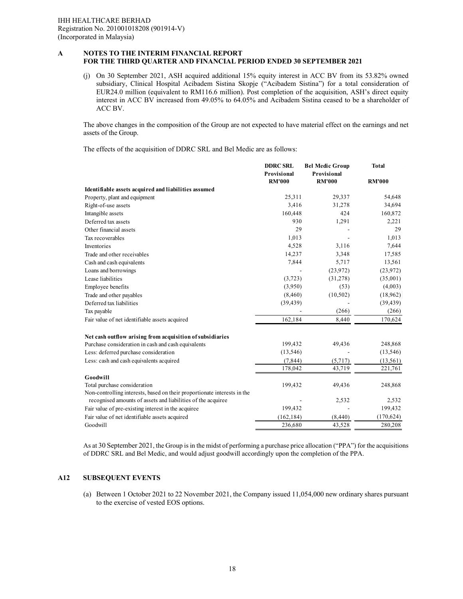(j) On 30 September 2021, ASH acquired additional 15% equity interest in ACC BV from its 53.82% owned subsidiary, Clinical Hospital Acibadem Sistina Skopje ("Acibadem Sistina") for a total consideration of EUR24.0 million (equivalent to RM116.6 million). Post completion of the acquisition, ASH's direct equity interest in ACC BV increased from 49.05% to 64.05% and Acibadem Sistina ceased to be a shareholder of ACC BV.

The above changes in the composition of the Group are not expected to have material effect on the earnings and net assets of the Group.

The effects of the acquisition of DDRC SRL and Bel Medic are as follows:

|                                                                          | <b>DDRC SRL</b><br>Provisional | <b>Bel Medic Group</b><br>Provisional | <b>Total</b>  |
|--------------------------------------------------------------------------|--------------------------------|---------------------------------------|---------------|
|                                                                          | <b>RM'000</b>                  | <b>RM'000</b>                         | <b>RM'000</b> |
| Identifiable assets acquired and liabilities assumed                     |                                |                                       |               |
| Property, plant and equipment                                            | 25,311                         | 29,337                                | 54,648        |
| Right-of-use assets                                                      | 3,416                          | 31,278                                | 34,694        |
| Intangible assets                                                        | 160,448                        | 424                                   | 160,872       |
| Deferred tax assets                                                      | 930                            | 1,291                                 | 2,221         |
| Other financial assets                                                   | 29                             |                                       | 29            |
| Tax recoverables                                                         | 1,013                          |                                       | 1,013         |
| Inventories                                                              | 4,528                          | 3,116                                 | 7,644         |
| Trade and other receivables                                              | 14,237                         | 3,348                                 | 17,585        |
| Cash and cash equivalents                                                | 7,844                          | 5,717                                 | 13,561        |
| Loans and borrowings                                                     |                                | (23,972)                              | (23, 972)     |
| Lease liabilities                                                        | (3,723)                        | (31,278)                              | (35,001)      |
| Employee benefits                                                        | (3,950)                        | (53)                                  | (4,003)       |
| Trade and other payables                                                 | (8,460)                        | (10,502)                              | (18,962)      |
| Deferred tax liabilities                                                 | (39, 439)                      |                                       | (39, 439)     |
| Tax payable                                                              |                                | (266)                                 | (266)         |
| Fair value of net identifiable assets acquired                           | 162,184                        | 8,440                                 | 170,624       |
| Net cash outflow arising from acquisition of subsidiaries                |                                |                                       |               |
| Purchase consideration in cash and cash equivalents                      | 199,432                        | 49,436                                | 248,868       |
| Less: deferred purchase consideration                                    | (13, 546)                      |                                       | (13, 546)     |
| Less: cash and cash equivalents acquired                                 | (7, 844)                       | (5,717)                               | (13, 561)     |
|                                                                          | 178,042                        | 43,719                                | 221,761       |
| Goodwill                                                                 |                                |                                       |               |
| Total purchase consideration                                             | 199,432                        | 49,436                                | 248,868       |
| Non-controlling interests, based on their proportionate interests in the |                                |                                       |               |
| recognised amounts of assets and liabilities of the acquiree             |                                | 2,532                                 | 2,532         |
| Fair value of pre-existing interest in the acquiree                      | 199,432                        |                                       | 199,432       |
| Fair value of net identifiable assets acquired                           | (162, 184)                     | (8,440)                               | (170, 624)    |
| Goodwill                                                                 | 236,680                        | 43,528                                | 280,208       |

As at 30 September 2021, the Group is in the midst of performing a purchase price allocation ("PPA") for the acquisitions of DDRC SRL and Bel Medic, and would adjust goodwill accordingly upon the completion of the PPA.

#### **A12 SUBSEQUENT EVENTS**

(a) Between 1 October 2021 to 22 November 2021, the Company issued 11,054,000 new ordinary shares pursuant to the exercise of vested EOS options.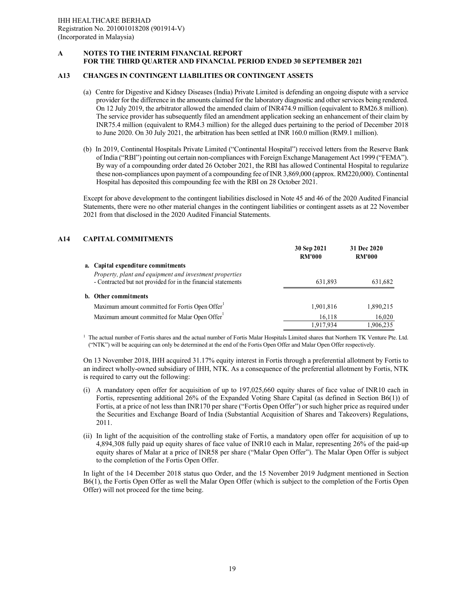# **A13 CHANGES IN CONTINGENT LIABILITIES OR CONTINGENT ASSETS**

- (a) Centre for Digestive and Kidney Diseases (India) Private Limited is defending an ongoing dispute with a service provider for the difference in the amounts claimed for the laboratory diagnostic and other services being rendered. On 12 July 2019, the arbitrator allowed the amended claim of INR474.9 million (equivalent to RM26.8 million). The service provider has subsequently filed an amendment application seeking an enhancement of their claim by INR75.4 million (equivalent to RM4.3 million) for the alleged dues pertaining to the period of December 2018 to June 2020. On 30 July 2021, the arbitration has been settled at INR 160.0 million (RM9.1 million).
- (b) In 2019, Continental Hospitals Private Limited ("Continental Hospital") received letters from the Reserve Bank of India ("RBI") pointing out certain non-compliances with Foreign Exchange Management Act 1999 ("FEMA"). By way of a compounding order dated 26 October 2021, the RBI has allowed Continental Hospital to regularize these non-compliances upon payment of a compounding fee of INR 3,869,000 (approx. RM220,000). Continental Hospital has deposited this compounding fee with the RBI on 28 October 2021.

Except for above development to the contingent liabilities disclosed in Note 45 and 46 of the 2020 Audited Financial Statements, there were no other material changes in the contingent liabilities or contingent assets as at 22 November 2021 from that disclosed in the 2020 Audited Financial Statements.

# **A14 CAPITAL COMMITMENTS**

|                                                                                                                          | 30 Sep 2021<br><b>RM'000</b> | 31 Dec 2020<br><b>RM'000</b> |
|--------------------------------------------------------------------------------------------------------------------------|------------------------------|------------------------------|
| a. Capital expenditure commitments                                                                                       |                              |                              |
| Property, plant and equipment and investment properties<br>- Contracted but not provided for in the financial statements | 631.893                      | 631,682                      |
| b. Other commitments                                                                                                     |                              |                              |
| Maximum amount committed for Fortis Open Offer                                                                           | 1,901,816                    | 1,890,215                    |
| Maximum amount committed for Malar Open Offer <sup>1</sup>                                                               | 16.118                       | 16,020                       |
|                                                                                                                          | 1.917.934                    | 1.906.235                    |

<sup>1</sup> The actual number of Fortis shares and the actual number of Fortis Malar Hospitals Limited shares that Northern TK Venture Pte. Ltd. ("NTK") will be acquiring can only be determined at the end of the Fortis Open Offer and Malar Open Offer respectively.

On 13 November 2018, IHH acquired 31.17% equity interest in Fortis through a preferential allotment by Fortis to an indirect wholly-owned subsidiary of IHH, NTK. As a consequence of the preferential allotment by Fortis, NTK is required to carry out the following:

- (i) A mandatory open offer for acquisition of up to 197,025,660 equity shares of face value of INR10 each in Fortis, representing additional 26% of the Expanded Voting Share Capital (as defined in Section B6(1)) of Fortis, at a price of not less than INR170 per share ("Fortis Open Offer") or such higher price as required under the Securities and Exchange Board of India (Substantial Acquisition of Shares and Takeovers) Regulations, 2011.
- (ii) In light of the acquisition of the controlling stake of Fortis, a mandatory open offer for acquisition of up to 4,894,308 fully paid up equity shares of face value of INR10 each in Malar, representing 26% of the paid-up equity shares of Malar at a price of INR58 per share ("Malar Open Offer"). The Malar Open Offer is subject to the completion of the Fortis Open Offer.

In light of the 14 December 2018 status quo Order, and the 15 November 2019 Judgment mentioned in Section B6(1), the Fortis Open Offer as well the Malar Open Offer (which is subject to the completion of the Fortis Open Offer) will not proceed for the time being.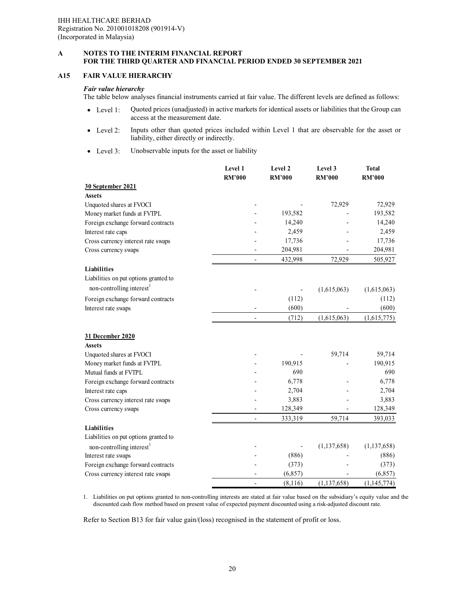### **A15 FAIR VALUE HIERARCHY**

#### *Fair value hierarchy*

The table below analyses financial instruments carried at fair value. The different levels are defined as follows:

- Level 1: Quoted prices (unadjusted) in active markets for identical assets or liabilities that the Group can access at the measurement date.
- Level 2: Inputs other than quoted prices included within Level 1 that are observable for the asset or liability, either directly or indirectly.
- Level 3: Unobservable inputs for the asset or liability

|                                       | Level 1<br><b>RM'000</b> | Level 2<br><b>RM'000</b> | Level 3<br><b>RM'000</b> | <b>Total</b><br><b>RM'000</b> |
|---------------------------------------|--------------------------|--------------------------|--------------------------|-------------------------------|
| 30 September 2021                     |                          |                          |                          |                               |
| <b>Assets</b>                         |                          |                          |                          |                               |
| Unquoted shares at FVOCI              |                          |                          | 72,929                   | 72,929                        |
| Money market funds at FVTPL           |                          | 193,582                  |                          | 193,582                       |
| Foreign exchange forward contracts    |                          | 14,240                   |                          | 14,240                        |
| Interest rate caps                    |                          | 2,459                    |                          | 2,459                         |
| Cross currency interest rate swaps    |                          | 17,736                   |                          | 17,736                        |
| Cross currency swaps                  |                          | 204,981                  |                          | 204,981                       |
|                                       |                          | 432,998                  | 72,929                   | 505,927                       |
| Liabilities                           |                          |                          |                          |                               |
| Liabilities on put options granted to |                          |                          |                          |                               |
| non-controlling interest <sup>1</sup> |                          |                          | (1,615,063)              | (1,615,063)                   |
| Foreign exchange forward contracts    |                          | (112)                    |                          | (112)                         |
| Interest rate swaps                   |                          | (600)                    |                          | (600)                         |
|                                       | $\overline{a}$           | (712)                    | (1,615,063)              | (1,615,775)                   |
| 31 December 2020<br><b>Assets</b>     |                          |                          |                          |                               |
| Unquoted shares at FVOCI              |                          |                          | 59,714                   | 59,714                        |
| Money market funds at FVTPL           |                          | 190,915                  |                          | 190,915                       |
| Mutual funds at FVTPL                 |                          | 690                      |                          | 690                           |
| Foreign exchange forward contracts    |                          | 6,778                    |                          | 6,778                         |
| Interest rate caps                    |                          | 2,704                    |                          | 2,704                         |
| Cross currency interest rate swaps    |                          | 3,883                    |                          | 3,883                         |
| Cross currency swaps                  |                          | 128,349                  |                          | 128,349                       |
|                                       |                          | 333,319                  | 59,714                   | 393,033                       |
| Liabilities                           |                          |                          |                          |                               |
| Liabilities on put options granted to |                          |                          |                          |                               |
| non-controlling interest <sup>1</sup> |                          |                          | (1, 137, 658)            | (1, 137, 658)                 |
| Interest rate swaps                   |                          | (886)                    |                          | (886)                         |
| Foreign exchange forward contracts    |                          | (373)                    |                          | (373)                         |
| Cross currency interest rate swaps    |                          | (6, 857)                 |                          | (6, 857)                      |
|                                       |                          | (8,116)                  | (1, 137, 658)            | (1,145,774)                   |

1. Liabilities on put options granted to non-controlling interests are stated at fair value based on the subsidiary's equity value and the discounted cash flow method based on present value of expected payment discounted using a risk-adjusted discount rate.

Refer to Section B13 for fair value gain/(loss) recognised in the statement of profit or loss.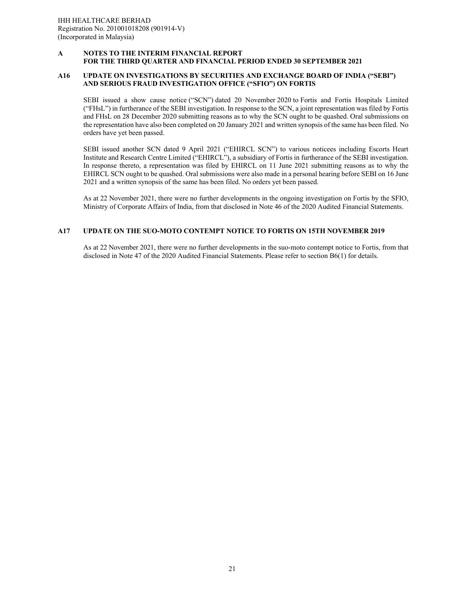#### **A16 UPDATE ON INVESTIGATIONS BY SECURITIES AND EXCHANGE BOARD OF INDIA ("SEBI") AND SERIOUS FRAUD INVESTIGATION OFFICE ("SFIO") ON FORTIS**

SEBI issued a show cause notice ("SCN") dated 20 November 2020 to Fortis and Fortis Hospitals Limited ("FHsL") in furtherance of the SEBI investigation. In response to the SCN, a joint representation was filed by Fortis and FHsL on 28 December 2020 submitting reasons as to why the SCN ought to be quashed. Oral submissions on the representation have also been completed on 20 January 2021 and written synopsis of the same has been filed. No orders have yet been passed.

SEBI issued another SCN dated 9 April 2021 ("EHIRCL SCN") to various noticees including Escorts Heart Institute and Research Centre Limited ("EHIRCL"), a subsidiary of Fortis in furtherance of the SEBI investigation. In response thereto, a representation was filed by EHIRCL on 11 June 2021 submitting reasons as to why the EHIRCL SCN ought to be quashed. Oral submissions were also made in a personal hearing before SEBI on 16 June 2021 and a written synopsis of the same has been filed. No orders yet been passed.

As at 22 November 2021, there were no further developments in the ongoing investigation on Fortis by the SFIO, Ministry of Corporate Affairs of India, from that disclosed in Note 46 of the 2020 Audited Financial Statements.

# **A17 UPDATE ON THE SUO-MOTO CONTEMPT NOTICE TO FORTIS ON 15TH NOVEMBER 2019**

As at 22 November 2021, there were no further developments in the suo-moto contempt notice to Fortis, from that disclosed in Note 47 of the 2020 Audited Financial Statements. Please refer to section B6(1) for details.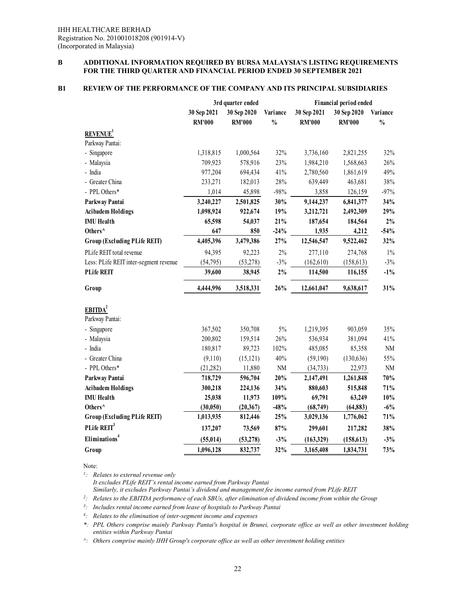# **B1 REVIEW OF THE PERFORMANCE OF THE COMPANY AND ITS PRINCIPAL SUBSIDIARIES**

|                                        | 3rd quarter ended |               |               | <b>Financial period ended</b> |               |               |
|----------------------------------------|-------------------|---------------|---------------|-------------------------------|---------------|---------------|
|                                        | 30 Sep 2021       | 30 Sep 2020   | Variance      | 30 Sep 2021                   | 30 Sep 2020   | Variance      |
|                                        | <b>RM'000</b>     | <b>RM'000</b> | $\frac{0}{0}$ | <b>RM'000</b>                 | <b>RM'000</b> | $\frac{0}{0}$ |
| <b>REVENUE</b> <sup>1</sup>            |                   |               |               |                               |               |               |
| Parkway Pantai:                        |                   |               |               |                               |               |               |
| - Singapore                            | 1,318,815         | 1,000,564     | 32%           | 3,736,160                     | 2,821,255     | 32%           |
| - Malaysia                             | 709,923           | 578,916       | 23%           | 1,984,210                     | 1,568,663     | 26%           |
| - India                                | 977,204           | 694,434       | 41%           | 2,780,560                     | 1,861,619     | 49%           |
| - Greater China                        | 233,271           | 182,013       | 28%           | 639,449                       | 463,681       | 38%           |
| - PPL Others*                          | 1,014             | 45,898        | $-98%$        | 3,858                         | 126,159       | $-97%$        |
| Parkway Pantai                         | 3,240,227         | 2,501,825     | 30%           | 9,144,237                     | 6,841,377     | 34%           |
| <b>Acibadem Holdings</b>               | 1,098,924         | 922,674       | 19%           | 3,212,721                     | 2,492,309     | 29%           |
| <b>IMU</b> Health                      | 65,598            | 54,037        | 21%           | 187,654                       | 184,564       | 2%            |
| Others^                                | 647               | 850           | $-24%$        | 1,935                         | 4,212         | $-54%$        |
| <b>Group (Excluding PLife REIT)</b>    | 4,405,396         | 3,479,386     | 27%           | 12,546,547                    | 9,522,462     | 32%           |
| PLife REIT total revenue               | 94,395            | 92,223        | 2%            | 277,110                       | 274,768       | $1\%$         |
| Less: PLife REIT inter-segment revenue | (54,795)          | (53,278)      | $-3%$         | (162, 610)                    | (158, 613)    | $-3%$         |
| <b>PLife REIT</b>                      | 39,600            | 38,945        | $2\%$         | 114,500                       | 116,155       | $-1\%$        |
| Group                                  | 4,444,996         | 3,518,331     | 26%           | 12,661,047                    | 9,638,617     | 31%           |
| EBITDA <sup>2</sup>                    |                   |               |               |                               |               |               |
| Parkway Pantai:                        |                   |               |               |                               |               |               |
| - Singapore                            | 367,502           | 350,708       | 5%            | 1,219,395                     | 903,059       | 35%           |
| - Malaysia                             | 200,802           | 159,514       | 26%           | 536,934                       | 381,094       | 41%           |
| - India                                | 180,817           | 89,723        | 102%          | 485,085                       | 85,358        | $\rm{NM}$     |
| - Greater China                        | (9,110)           | (15, 121)     | 40%           | (59,190)                      | (130, 636)    | 55%           |
| - PPL Others*                          | (21, 282)         | 11,880        | NM            | (34, 733)                     | 22,973        | $\rm NM$      |
| Parkway Pantai                         | 718,729           | 596,704       | 20%           | 2,147,491                     | 1,261,848     | 70%           |
| <b>Acibadem Holdings</b>               | 300,218           | 224,136       | 34%           | 880,603                       | 515,848       | 71%           |
| <b>IMU</b> Health                      | 25,038            | 11,973        | 109%          | 69,791                        | 63,249        | 10%           |
| Others^                                | (30, 050)         | (20, 367)     | $-48%$        | (68, 749)                     | (64, 883)     | $-6%$         |
| <b>Group (Excluding PLife REIT)</b>    | 1,013,935         | 812,446       | 25%           | 3,029,136                     | 1,776,062     | 71%           |
| PLife REIT <sup>3</sup>                | 137,207           | 73,569        | 87%           | 299,601                       | 217,282       | 38%           |
| Eliminations <sup>4</sup>              | (55, 014)         | (53, 278)     | $-3%$         | (163, 329)                    | (158, 613)    | $-3%$         |
| Group                                  | 1,096,128         | 832,737       | 32%           | 3,165,408                     | 1,834,731     | 73%           |

Note:

*1: Relates to external revenue only* 

*It excludes PLife REIT's rental income earned from Parkway Pantai* 

*Similarly, it excludes Parkway Pantai's dividend and management fee income earned from PLife REIT* 

<sup>2</sup>: Relates to the EBITDA performance of each SBUs, after elimination of dividend income from within the Group

<sup>3</sup>: Includes rental income earned from lease of hospitals to Parkway Pantai

*4 : Relates to the elimination of inter-segment income and expenses* 

*\*: PPL Others comprise mainly Parkway Pantai's hospital in Brunei, corporate office as well as other investment holding entities within Parkway Pantai* 

*^: Others comprise mainly IHH Group's corporate office as well as other investment holding entities*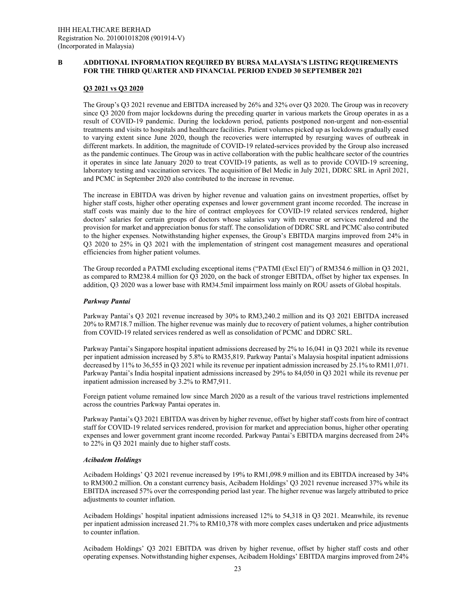#### **Q3 2021 vs Q3 2020**

The Group's Q3 2021 revenue and EBITDA increased by 26% and 32% over Q3 2020. The Group was in recovery since Q3 2020 from major lockdowns during the preceding quarter in various markets the Group operates in as a result of COVID-19 pandemic. During the lockdown period, patients postponed non-urgent and non-essential treatments and visits to hospitals and healthcare facilities. Patient volumes picked up as lockdowns gradually eased to varying extent since June 2020, though the recoveries were interrupted by resurging waves of outbreak in different markets. In addition, the magnitude of COVID-19 related-services provided by the Group also increased as the pandemic continues. The Group was in active collaboration with the public healthcare sector of the countries it operates in since late January 2020 to treat COVID-19 patients, as well as to provide COVID-19 screening, laboratory testing and vaccination services. The acquisition of Bel Medic in July 2021, DDRC SRL in April 2021, and PCMC in September 2020 also contributed to the increase in revenue.

The increase in EBITDA was driven by higher revenue and valuation gains on investment properties, offset by higher staff costs, higher other operating expenses and lower government grant income recorded. The increase in staff costs was mainly due to the hire of contract employees for COVID-19 related services rendered, higher doctors' salaries for certain groups of doctors whose salaries vary with revenue or services rendered and the provision for market and appreciation bonus for staff. The consolidation of DDRC SRL and PCMC also contributed to the higher expenses. Notwithstanding higher expenses, the Group's EBITDA margins improved from 24% in Q3 2020 to 25% in Q3 2021 with the implementation of stringent cost management measures and operational efficiencies from higher patient volumes.

The Group recorded a PATMI excluding exceptional items ("PATMI (Excl EI)") of RM354.6 million in Q3 2021, as compared to RM238.4 million for Q3 2020, on the back of stronger EBITDA, offset by higher tax expenses. In addition, Q3 2020 was a lower base with RM34.5mil impairment loss mainly on ROU assets of Global hospitals.

#### *Parkway Pantai*

Parkway Pantai's Q3 2021 revenue increased by 30% to RM3,240.2 million and its Q3 2021 EBITDA increased 20% to RM718.7 million. The higher revenue was mainly due to recovery of patient volumes, a higher contribution from COVID-19 related services rendered as well as consolidation of PCMC and DDRC SRL.

Parkway Pantai's Singapore hospital inpatient admissions decreased by 2% to 16,041 in Q3 2021 while its revenue per inpatient admission increased by 5.8% to RM35,819. Parkway Pantai's Malaysia hospital inpatient admissions decreased by 11% to 36,555 in Q3 2021 while its revenue per inpatient admission increased by 25.1% to RM11,071. Parkway Pantai's India hospital inpatient admissions increased by 29% to 84,050 in Q3 2021 while its revenue per inpatient admission increased by 3.2% to RM7,911.

Foreign patient volume remained low since March 2020 as a result of the various travel restrictions implemented across the countries Parkway Pantai operates in.

Parkway Pantai's Q3 2021 EBITDA was driven by higher revenue, offset by higher staff costs from hire of contract staff for COVID-19 related services rendered, provision for market and appreciation bonus, higher other operating expenses and lower government grant income recorded. Parkway Pantai's EBITDA margins decreased from 24% to 22% in Q3 2021 mainly due to higher staff costs.

#### *Acibadem Holdings*

Acibadem Holdings' Q3 2021 revenue increased by 19% to RM1,098.9 million and its EBITDA increased by 34% to RM300.2 million. On a constant currency basis, Acibadem Holdings' Q3 2021 revenue increased 37% while its EBITDA increased 57% over the corresponding period last year. The higher revenue was largely attributed to price adjustments to counter inflation.

Acibadem Holdings' hospital inpatient admissions increased 12% to 54,318 in Q3 2021. Meanwhile, its revenue per inpatient admission increased 21.7% to RM10,378 with more complex cases undertaken and price adjustments to counter inflation.

Acibadem Holdings' Q3 2021 EBITDA was driven by higher revenue, offset by higher staff costs and other operating expenses. Notwithstanding higher expenses, Acibadem Holdings' EBITDA margins improved from 24%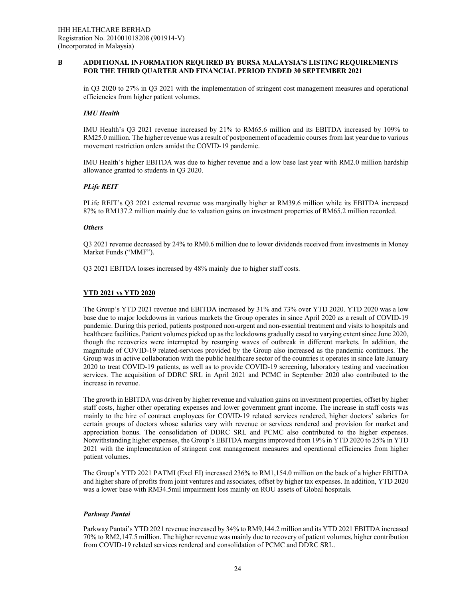in Q3 2020 to 27% in Q3 2021 with the implementation of stringent cost management measures and operational efficiencies from higher patient volumes.

#### *IMU Health*

IMU Health's Q3 2021 revenue increased by 21% to RM65.6 million and its EBITDA increased by 109% to RM25.0 million. The higher revenue was a result of postponement of academic courses from last year due to various movement restriction orders amidst the COVID-19 pandemic.

IMU Health's higher EBITDA was due to higher revenue and a low base last year with RM2.0 million hardship allowance granted to students in Q3 2020.

### *PLife REIT*

PLife REIT's Q3 2021 external revenue was marginally higher at RM39.6 million while its EBITDA increased 87% to RM137.2 million mainly due to valuation gains on investment properties of RM65.2 million recorded.

#### *Others*

Q3 2021 revenue decreased by 24% to RM0.6 million due to lower dividends received from investments in Money Market Funds ("MMF").

Q3 2021 EBITDA losses increased by 48% mainly due to higher staff costs.

### **YTD 2021 vs YTD 2020**

The Group's YTD 2021 revenue and EBITDA increased by 31% and 73% over YTD 2020. YTD 2020 was a low base due to major lockdowns in various markets the Group operates in since April 2020 as a result of COVID-19 pandemic. During this period, patients postponed non-urgent and non-essential treatment and visits to hospitals and healthcare facilities. Patient volumes picked up as the lockdowns gradually eased to varying extent since June 2020, though the recoveries were interrupted by resurging waves of outbreak in different markets. In addition, the magnitude of COVID-19 related-services provided by the Group also increased as the pandemic continues. The Group was in active collaboration with the public healthcare sector of the countries it operates in since late January 2020 to treat COVID-19 patients, as well as to provide COVID-19 screening, laboratory testing and vaccination services. The acquisition of DDRC SRL in April 2021 and PCMC in September 2020 also contributed to the increase in revenue.

The growth in EBITDA was driven by higher revenue and valuation gains on investment properties, offset by higher staff costs, higher other operating expenses and lower government grant income. The increase in staff costs was mainly to the hire of contract employees for COVID-19 related services rendered, higher doctors' salaries for certain groups of doctors whose salaries vary with revenue or services rendered and provision for market and appreciation bonus. The consolidation of DDRC SRL and PCMC also contributed to the higher expenses. Notwithstanding higher expenses, the Group's EBITDA margins improved from 19% in YTD 2020 to 25% in YTD 2021 with the implementation of stringent cost management measures and operational efficiencies from higher patient volumes.

The Group's YTD 2021 PATMI (Excl EI) increased 236% to RM1,154.0 million on the back of a higher EBITDA and higher share of profits from joint ventures and associates, offset by higher tax expenses. In addition, YTD 2020 was a lower base with RM34.5mil impairment loss mainly on ROU assets of Global hospitals.

#### *Parkway Pantai*

Parkway Pantai's YTD 2021 revenue increased by 34% to RM9,144.2 million and its YTD 2021 EBITDA increased 70% to RM2,147.5 million. The higher revenue was mainly due to recovery of patient volumes, higher contribution from COVID-19 related services rendered and consolidation of PCMC and DDRC SRL.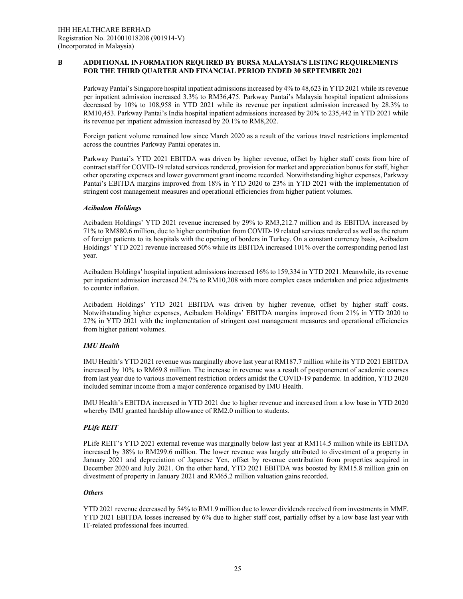Parkway Pantai's Singapore hospital inpatient admissions increased by 4% to 48,623 in YTD 2021 while its revenue per inpatient admission increased 3.3% to RM36,475. Parkway Pantai's Malaysia hospital inpatient admissions decreased by 10% to 108,958 in YTD 2021 while its revenue per inpatient admission increased by 28.3% to RM10,453. Parkway Pantai's India hospital inpatient admissions increased by 20% to 235,442 in YTD 2021 while its revenue per inpatient admission increased by 20.1% to RM8,202.

Foreign patient volume remained low since March 2020 as a result of the various travel restrictions implemented across the countries Parkway Pantai operates in.

Parkway Pantai's YTD 2021 EBITDA was driven by higher revenue, offset by higher staff costs from hire of contract staff for COVID-19 related services rendered, provision for market and appreciation bonus for staff, higher other operating expenses and lower government grant income recorded. Notwithstanding higher expenses, Parkway Pantai's EBITDA margins improved from 18% in YTD 2020 to 23% in YTD 2021 with the implementation of stringent cost management measures and operational efficiencies from higher patient volumes.

#### *Acibadem Holdings*

Acibadem Holdings' YTD 2021 revenue increased by 29% to RM3,212.7 million and its EBITDA increased by 71% to RM880.6 million, due to higher contribution from COVID-19 related services rendered as well as the return of foreign patients to its hospitals with the opening of borders in Turkey. On a constant currency basis, Acibadem Holdings' YTD 2021 revenue increased 50% while its EBITDA increased 101% over the corresponding period last year.

Acibadem Holdings' hospital inpatient admissions increased 16% to 159,334 in YTD 2021. Meanwhile, its revenue per inpatient admission increased 24.7% to RM10,208 with more complex cases undertaken and price adjustments to counter inflation.

Acibadem Holdings' YTD 2021 EBITDA was driven by higher revenue, offset by higher staff costs. Notwithstanding higher expenses, Acibadem Holdings' EBITDA margins improved from 21% in YTD 2020 to 27% in YTD 2021 with the implementation of stringent cost management measures and operational efficiencies from higher patient volumes.

#### *IMU Health*

IMU Health's YTD 2021 revenue was marginally above last year at RM187.7 million while its YTD 2021 EBITDA increased by 10% to RM69.8 million. The increase in revenue was a result of postponement of academic courses from last year due to various movement restriction orders amidst the COVID-19 pandemic. In addition, YTD 2020 included seminar income from a major conference organised by IMU Health.

IMU Health's EBITDA increased in YTD 2021 due to higher revenue and increased from a low base in YTD 2020 whereby IMU granted hardship allowance of RM2.0 million to students.

#### *PLife REIT*

PLife REIT's YTD 2021 external revenue was marginally below last year at RM114.5 million while its EBITDA increased by 38% to RM299.6 million. The lower revenue was largely attributed to divestment of a property in January 2021 and depreciation of Japanese Yen, offset by revenue contribution from properties acquired in December 2020 and July 2021. On the other hand, YTD 2021 EBITDA was boosted by RM15.8 million gain on divestment of property in January 2021 and RM65.2 million valuation gains recorded.

#### *Others*

YTD 2021 revenue decreased by 54% to RM1.9 million due to lower dividends received from investments in MMF. YTD 2021 EBITDA losses increased by 6% due to higher staff cost, partially offset by a low base last year with IT-related professional fees incurred.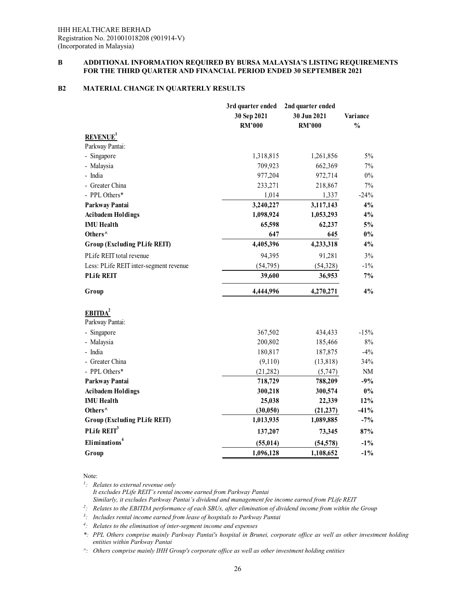# **B2 MATERIAL CHANGE IN QUARTERLY RESULTS**

|                                        | 3rd quarter ended | 2nd quarter ended |               |
|----------------------------------------|-------------------|-------------------|---------------|
|                                        | 30 Sep 2021       | 30 Jun 2021       | Variance      |
|                                        | <b>RM'000</b>     | <b>RM'000</b>     | $\frac{0}{0}$ |
| <b>REVENUE</b> <sup>1</sup>            |                   |                   |               |
| Parkway Pantai:                        |                   |                   |               |
| - Singapore                            | 1,318,815         | 1,261,856         | 5%            |
| - Malaysia                             | 709,923           | 662,369           | 7%            |
| - India                                | 977,204           | 972,714           | $0\%$         |
| - Greater China                        | 233,271           | 218,867           | 7%            |
| - PPL Others*                          | 1,014             | 1,337             | $-24%$        |
| Parkway Pantai                         | 3,240,227         | 3,117,143         | 4%            |
| <b>Acibadem Holdings</b>               | 1,098,924         | 1,053,293         | 4%            |
| <b>IMU Health</b>                      | 65,598            | 62,237            | 5%            |
| Others^                                | 647               | 645               | $0\%$         |
| <b>Group (Excluding PLife REIT)</b>    | 4,405,396         | 4,233,318         | 4%            |
| PLife REIT total revenue               | 94,395            | 91,281            | $3\%$         |
| Less: PLife REIT inter-segment revenue | (54, 795)         | (54,328)          | $-1\%$        |
| <b>PLife REIT</b>                      | 39,600            | 36,953            | 7%            |
| Group                                  | 4,444,996         | 4,270,271         | 4%            |
| EBITDA <sup>2</sup>                    |                   |                   |               |
| Parkway Pantai:                        |                   |                   |               |
| - Singapore                            | 367,502           | 434,433           | $-15%$        |
| - Malaysia                             | 200,802           | 185,466           | 8%            |
| - India                                | 180,817           | 187,875           | $-4%$         |
| - Greater China                        | (9,110)           | (13, 818)         | 34%           |
| - PPL Others*                          | (21, 282)         | (5,747)           | NM            |
| Parkway Pantai                         | 718,729           | 788,209           | $-9%$         |
| <b>Acibadem Holdings</b>               | 300,218           | 300,574           | $0\%$         |
| <b>IMU</b> Health                      | 25,038            | 22,339            | 12%           |
| Others^                                | (30, 050)         | (21, 237)         | $-41%$        |
| <b>Group (Excluding PLife REIT)</b>    | 1,013,935         | 1,089,885         | $-7%$         |
| PLife REIT <sup>3</sup>                | 137,207           | 73,345            | 87%           |
| Eliminations <sup>4</sup>              | (55, 014)         | (54, 578)         | $-1\%$        |
| Group                                  | 1,096,128         | 1,108,652         | $-1\%$        |

Note:

*1 : Relates to external revenue only* 

*It excludes PLife REIT's rental income earned from Parkway Pantai* 

*Similarly, it excludes Parkway Pantai's dividend and management fee income earned from PLife REIT* 

<sup>2</sup>: Relates to the EBITDA performance of each SBUs, after elimination of dividend income from within the Group

*3 : Includes rental income earned from lease of hospitals to Parkway Pantai* 

*4 : Relates to the elimination of inter-segment income and expenses* 

*\*: PPL Others comprise mainly Parkway Pantai's hospital in Brunei, corporate office as well as other investment holding entities within Parkway Pantai* 

*^: Others comprise mainly IHH Group's corporate office as well as other investment holding entities*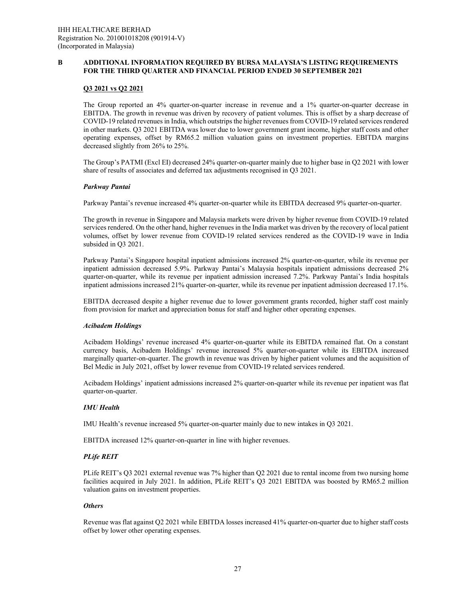#### **Q3 2021 vs Q2 2021**

The Group reported an 4% quarter-on-quarter increase in revenue and a 1% quarter-on-quarter decrease in EBITDA. The growth in revenue was driven by recovery of patient volumes. This is offset by a sharp decrease of COVID-19 related revenues in India, which outstrips the higher revenues from COVID-19 related services rendered in other markets. Q3 2021 EBITDA was lower due to lower government grant income, higher staff costs and other operating expenses, offset by RM65.2 million valuation gains on investment properties. EBITDA margins decreased slightly from 26% to 25%.

The Group's PATMI (Excl EI) decreased 24% quarter-on-quarter mainly due to higher base in Q2 2021 with lower share of results of associates and deferred tax adjustments recognised in Q3 2021.

#### *Parkway Pantai*

Parkway Pantai's revenue increased 4% quarter-on-quarter while its EBITDA decreased 9% quarter-on-quarter.

The growth in revenue in Singapore and Malaysia markets were driven by higher revenue from COVID-19 related services rendered. On the other hand, higher revenues in the India market was driven by the recovery of local patient volumes, offset by lower revenue from COVID-19 related services rendered as the COVID-19 wave in India subsided in Q3 2021.

Parkway Pantai's Singapore hospital inpatient admissions increased 2% quarter-on-quarter, while its revenue per inpatient admission decreased 5.9%. Parkway Pantai's Malaysia hospitals inpatient admissions decreased 2% quarter-on-quarter, while its revenue per inpatient admission increased 7.2%. Parkway Pantai's India hospitals inpatient admissions increased 21% quarter-on-quarter, while its revenue per inpatient admission decreased 17.1%.

EBITDA decreased despite a higher revenue due to lower government grants recorded, higher staff cost mainly from provision for market and appreciation bonus for staff and higher other operating expenses.

#### *Acibadem Holdings*

Acibadem Holdings' revenue increased 4% quarter-on-quarter while its EBITDA remained flat. On a constant currency basis, Acibadem Holdings' revenue increased 5% quarter-on-quarter while its EBITDA increased marginally quarter-on-quarter. The growth in revenue was driven by higher patient volumes and the acquisition of Bel Medic in July 2021, offset by lower revenue from COVID-19 related services rendered.

Acibadem Holdings' inpatient admissions increased 2% quarter-on-quarter while its revenue per inpatient was flat quarter-on-quarter.

#### *IMU Health*

IMU Health's revenue increased 5% quarter-on-quarter mainly due to new intakes in Q3 2021.

EBITDA increased 12% quarter-on-quarter in line with higher revenues.

#### *PLife REIT*

PLife REIT's Q3 2021 external revenue was 7% higher than Q2 2021 due to rental income from two nursing home facilities acquired in July 2021. In addition, PLife REIT's Q3 2021 EBITDA was boosted by RM65.2 million valuation gains on investment properties.

#### *Others*

Revenue was flat against Q2 2021 while EBITDA losses increased 41% quarter-on-quarter due to higher staff costs offset by lower other operating expenses.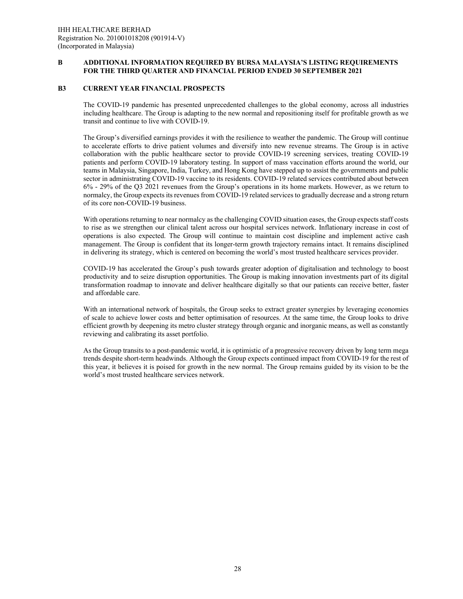#### **B3 CURRENT YEAR FINANCIAL PROSPECTS**

The COVID-19 pandemic has presented unprecedented challenges to the global economy, across all industries including healthcare. The Group is adapting to the new normal and repositioning itself for profitable growth as we transit and continue to live with COVID-19.

The Group's diversified earnings provides it with the resilience to weather the pandemic. The Group will continue to accelerate efforts to drive patient volumes and diversify into new revenue streams. The Group is in active collaboration with the public healthcare sector to provide COVID-19 screening services, treating COVID-19 patients and perform COVID-19 laboratory testing. In support of mass vaccination efforts around the world, our teams in Malaysia, Singapore, India, Turkey, and Hong Kong have stepped up to assist the governments and public sector in administrating COVID-19 vaccine to its residents. COVID-19 related services contributed about between 6% - 29% of the Q3 2021 revenues from the Group's operations in its home markets. However, as we return to normalcy, the Group expects its revenues from COVID-19 related services to gradually decrease and a strong return of its core non-COVID-19 business.

With operations returning to near normalcy as the challenging COVID situation eases, the Group expects staff costs to rise as we strengthen our clinical talent across our hospital services network. Inflationary increase in cost of operations is also expected. The Group will continue to maintain cost discipline and implement active cash management. The Group is confident that its longer-term growth trajectory remains intact. It remains disciplined in delivering its strategy, which is centered on becoming the world's most trusted healthcare services provider.

COVID-19 has accelerated the Group's push towards greater adoption of digitalisation and technology to boost productivity and to seize disruption opportunities. The Group is making innovation investments part of its digital transformation roadmap to innovate and deliver healthcare digitally so that our patients can receive better, faster and affordable care.

With an international network of hospitals, the Group seeks to extract greater synergies by leveraging economies of scale to achieve lower costs and better optimisation of resources. At the same time, the Group looks to drive efficient growth by deepening its metro cluster strategy through organic and inorganic means, as well as constantly reviewing and calibrating its asset portfolio.

As the Group transits to a post-pandemic world, it is optimistic of a progressive recovery driven by long term mega trends despite short-term headwinds. Although the Group expects continued impact from COVID-19 for the rest of this year, it believes it is poised for growth in the new normal. The Group remains guided by its vision to be the world's most trusted healthcare services network.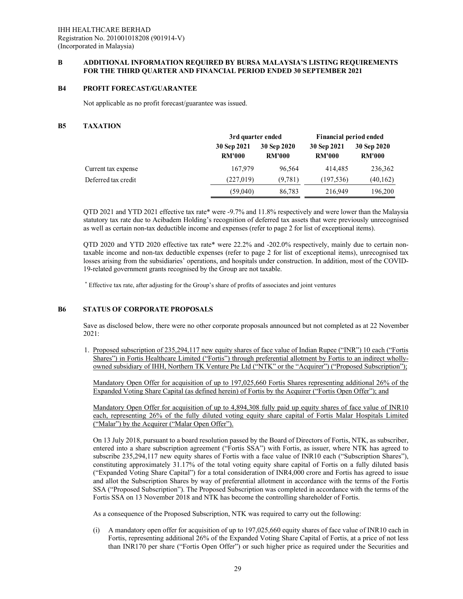#### **B4 PROFIT FORECAST/GUARANTEE**

Not applicable as no profit forecast/guarantee was issued.

#### **B5 TAXATION**

|                     |                              | Financial period ended<br>3rd quarter ended |                              |                              |  |
|---------------------|------------------------------|---------------------------------------------|------------------------------|------------------------------|--|
|                     | 30 Sep 2021<br><b>RM'000</b> | 30 Sep 2020<br><b>RM'000</b>                | 30 Sep 2021<br><b>RM'000</b> | 30 Sep 2020<br><b>RM'000</b> |  |
| Current tax expense | 167,979                      | 96.564                                      | 414,485                      | 236,362                      |  |
| Deferred tax credit | (227, 019)                   | (9,781)                                     | (197, 536)                   | (40, 162)                    |  |
|                     | (59,040)                     | 86,783                                      | 216,949                      | 196,200                      |  |

QTD 2021 and YTD 2021 effective tax rate\* were -9.7% and 11.8% respectively and were lower than the Malaysia statutory tax rate due to Acibadem Holding's recognition of deferred tax assets that were previously unrecognised as well as certain non-tax deductible income and expenses (refer to page 2 for list of exceptional items).

QTD 2020 and YTD 2020 effective tax rate\* were 22.2% and -202.0% respectively, mainly due to certain nontaxable income and non-tax deductible expenses (refer to page 2 for list of exceptional items), unrecognised tax losses arising from the subsidiaries' operations, and hospitals under construction. In addition, most of the COVID-19-related government grants recognised by the Group are not taxable.

\* Effective tax rate, after adjusting for the Group's share of profits of associates and joint ventures

#### **B6 STATUS OF CORPORATE PROPOSALS**

Save as disclosed below, there were no other corporate proposals announced but not completed as at 22 November 2021:

1. Proposed subscription of 235,294,117 new equity shares of face value of Indian Rupee ("INR") 10 each ("Fortis Shares") in Fortis Healthcare Limited ("Fortis") through preferential allotment by Fortis to an indirect whollyowned subsidiary of IHH, Northern TK Venture Pte Ltd ("NTK" or the "Acquirer") ("Proposed Subscription");

Mandatory Open Offer for acquisition of up to 197,025,660 Fortis Shares representing additional 26% of the Expanded Voting Share Capital (as defined herein) of Fortis by the Acquirer ("Fortis Open Offer"); and

Mandatory Open Offer for acquisition of up to 4,894,308 fully paid up equity shares of face value of INR10 each, representing 26% of the fully diluted voting equity share capital of Fortis Malar Hospitals Limited ("Malar") by the Acquirer ("Malar Open Offer").

 On 13 July 2018, pursuant to a board resolution passed by the Board of Directors of Fortis, NTK, as subscriber, entered into a share subscription agreement ("Fortis SSA") with Fortis, as issuer, where NTK has agreed to subscribe 235,294,117 new equity shares of Fortis with a face value of INR10 each ("Subscription Shares"), constituting approximately 31.17% of the total voting equity share capital of Fortis on a fully diluted basis ("Expanded Voting Share Capital") for a total consideration of INR4,000 crore and Fortis has agreed to issue and allot the Subscription Shares by way of preferential allotment in accordance with the terms of the Fortis SSA ("Proposed Subscription"). The Proposed Subscription was completed in accordance with the terms of the Fortis SSA on 13 November 2018 and NTK has become the controlling shareholder of Fortis.

As a consequence of the Proposed Subscription, NTK was required to carry out the following:

(i) A mandatory open offer for acquisition of up to 197,025,660 equity shares of face value of INR10 each in Fortis, representing additional 26% of the Expanded Voting Share Capital of Fortis, at a price of not less than INR170 per share ("Fortis Open Offer") or such higher price as required under the Securities and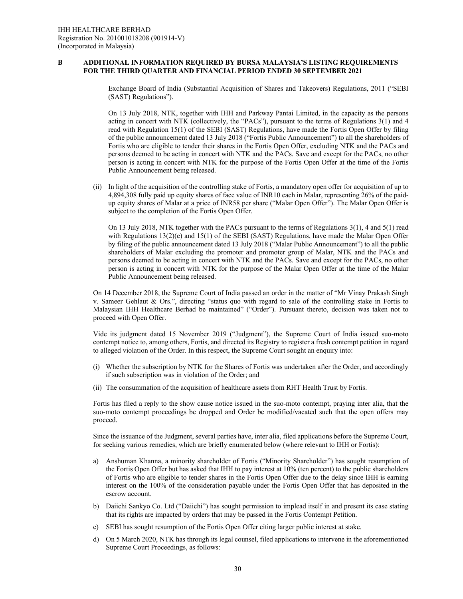Exchange Board of India (Substantial Acquisition of Shares and Takeovers) Regulations, 2011 ("SEBI (SAST) Regulations").

 On 13 July 2018, NTK, together with IHH and Parkway Pantai Limited, in the capacity as the persons acting in concert with NTK (collectively, the "PACs"), pursuant to the terms of Regulations 3(1) and 4 read with Regulation 15(1) of the SEBI (SAST) Regulations, have made the Fortis Open Offer by filing of the public announcement dated 13 July 2018 ("Fortis Public Announcement") to all the shareholders of Fortis who are eligible to tender their shares in the Fortis Open Offer, excluding NTK and the PACs and persons deemed to be acting in concert with NTK and the PACs. Save and except for the PACs, no other person is acting in concert with NTK for the purpose of the Fortis Open Offer at the time of the Fortis Public Announcement being released.

(ii) In light of the acquisition of the controlling stake of Fortis, a mandatory open offer for acquisition of up to 4,894,308 fully paid up equity shares of face value of INR10 each in Malar, representing 26% of the paidup equity shares of Malar at a price of INR58 per share ("Malar Open Offer"). The Malar Open Offer is subject to the completion of the Fortis Open Offer.

 On 13 July 2018, NTK together with the PACs pursuant to the terms of Regulations 3(1), 4 and 5(1) read with Regulations  $13(2)(e)$  and  $15(1)$  of the SEBI (SAST) Regulations, have made the Malar Open Offer by filing of the public announcement dated 13 July 2018 ("Malar Public Announcement") to all the public shareholders of Malar excluding the promoter and promoter group of Malar, NTK and the PACs and persons deemed to be acting in concert with NTK and the PACs. Save and except for the PACs, no other person is acting in concert with NTK for the purpose of the Malar Open Offer at the time of the Malar Public Announcement being released.

On 14 December 2018, the Supreme Court of India passed an order in the matter of "Mr Vinay Prakash Singh v. Sameer Gehlaut & Ors.", directing "status quo with regard to sale of the controlling stake in Fortis to Malaysian IHH Healthcare Berhad be maintained" ("Order"). Pursuant thereto, decision was taken not to proceed with Open Offer.

Vide its judgment dated 15 November 2019 ("Judgment"), the Supreme Court of India issued suo-moto contempt notice to, among others, Fortis, and directed its Registry to register a fresh contempt petition in regard to alleged violation of the Order. In this respect, the Supreme Court sought an enquiry into:

- (i) Whether the subscription by NTK for the Shares of Fortis was undertaken after the Order, and accordingly if such subscription was in violation of the Order; and
- (ii) The consummation of the acquisition of healthcare assets from RHT Health Trust by Fortis.

Fortis has filed a reply to the show cause notice issued in the suo-moto contempt, praying inter alia, that the suo-moto contempt proceedings be dropped and Order be modified/vacated such that the open offers may proceed.

Since the issuance of the Judgment, several parties have, inter alia, filed applications before the Supreme Court, for seeking various remedies, which are briefly enumerated below (where relevant to IHH or Fortis):

- a) Anshuman Khanna, a minority shareholder of Fortis ("Minority Shareholder") has sought resumption of the Fortis Open Offer but has asked that IHH to pay interest at 10% (ten percent) to the public shareholders of Fortis who are eligible to tender shares in the Fortis Open Offer due to the delay since IHH is earning interest on the 100% of the consideration payable under the Fortis Open Offer that has deposited in the escrow account.
- b) Daiichi Sankyo Co. Ltd ("Daiichi") has sought permission to implead itself in and present its case stating that its rights are impacted by orders that may be passed in the Fortis Contempt Petition.
- c) SEBI has sought resumption of the Fortis Open Offer citing larger public interest at stake.
- d) On 5 March 2020, NTK has through its legal counsel, filed applications to intervene in the aforementioned Supreme Court Proceedings, as follows: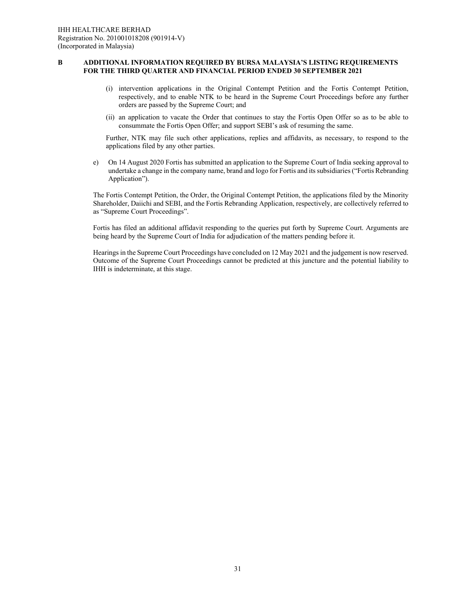- (i) intervention applications in the Original Contempt Petition and the Fortis Contempt Petition, respectively, and to enable NTK to be heard in the Supreme Court Proceedings before any further orders are passed by the Supreme Court; and
- (ii) an application to vacate the Order that continues to stay the Fortis Open Offer so as to be able to consummate the Fortis Open Offer; and support SEBI's ask of resuming the same.

Further, NTK may file such other applications, replies and affidavits, as necessary, to respond to the applications filed by any other parties.

e) On 14 August 2020 Fortis has submitted an application to the Supreme Court of India seeking approval to undertake a change in the company name, brand and logo for Fortis and its subsidiaries ("Fortis Rebranding Application").

The Fortis Contempt Petition, the Order, the Original Contempt Petition, the applications filed by the Minority Shareholder, Daiichi and SEBI, and the Fortis Rebranding Application, respectively, are collectively referred to as "Supreme Court Proceedings".

Fortis has filed an additional affidavit responding to the queries put forth by Supreme Court. Arguments are being heard by the Supreme Court of India for adjudication of the matters pending before it.

Hearings in the Supreme Court Proceedings have concluded on 12 May 2021 and the judgement is now reserved. Outcome of the Supreme Court Proceedings cannot be predicted at this juncture and the potential liability to IHH is indeterminate, at this stage.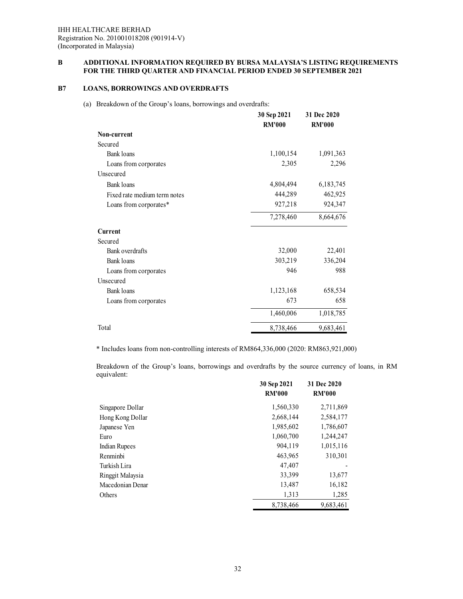# **B7 LOANS, BORROWINGS AND OVERDRAFTS**

(a) Breakdown of the Group's loans, borrowings and overdrafts:

|                              | 30 Sep 2021<br><b>RM'000</b> | 31 Dec 2020<br><b>RM'000</b> |
|------------------------------|------------------------------|------------------------------|
| Non-current                  |                              |                              |
| Secured                      |                              |                              |
| Bank loans                   | 1,100,154                    | 1,091,363                    |
| Loans from corporates        | 2,305                        | 2,296                        |
| Unsecured                    |                              |                              |
| <b>Bank</b> loans            | 4,804,494                    | 6,183,745                    |
| Fixed rate medium term notes | 444,289                      | 462,925                      |
| Loans from corporates*       | 927,218                      | 924,347                      |
|                              | 7,278,460                    | 8,664,676                    |
| <b>Current</b>               |                              |                              |
| Secured                      |                              |                              |
| <b>Bank overdrafts</b>       | 32,000                       | 22,401                       |
| Bank loans                   | 303,219                      | 336,204                      |
| Loans from corporates        | 946                          | 988                          |
| Unsecured                    |                              |                              |
| <b>Bank</b> loans            | 1,123,168                    | 658,534                      |
| Loans from corporates        | 673                          | 658                          |
|                              | 1,460,006                    | 1,018,785                    |
| Total                        | 8,738,466                    | 9,683,461                    |

\* Includes loans from non-controlling interests of RM864,336,000 (2020: RM863,921,000)

Breakdown of the Group's loans, borrowings and overdrafts by the source currency of loans, in RM equivalent:

|                  | 30 Sep 2021<br><b>RM'000</b> | 31 Dec 2020<br><b>RM'000</b> |
|------------------|------------------------------|------------------------------|
| Singapore Dollar | 1,560,330                    | 2,711,869                    |
| Hong Kong Dollar | 2,668,144                    | 2,584,177                    |
| Japanese Yen     | 1,985,602                    | 1,786,607                    |
| Euro             | 1,060,700                    | 1,244,247                    |
| Indian Rupees    | 904,119                      | 1,015,116                    |
| Renminbi         | 463,965                      | 310,301                      |
| Turkish Lira     | 47,407                       |                              |
| Ringgit Malaysia | 33,399                       | 13,677                       |
| Macedonian Denar | 13,487                       | 16,182                       |
| Others           | 1,313                        | 1,285                        |
|                  | 8,738,466                    | 9.683.461                    |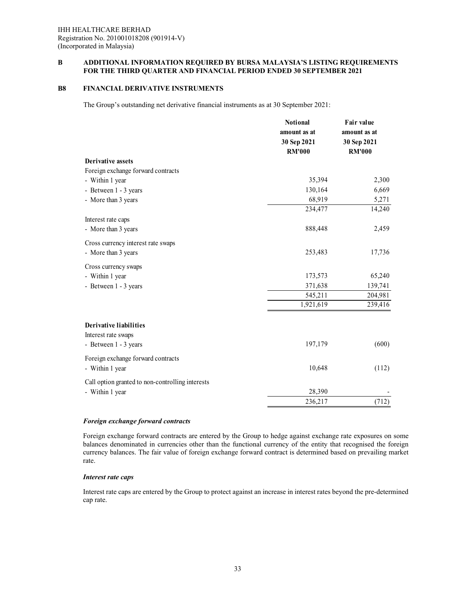#### **B8 FINANCIAL DERIVATIVE INSTRUMENTS**

The Group's outstanding net derivative financial instruments as at 30 September 2021:

|                                                  | <b>Notional</b><br>amount as at<br>30 Sep 2021<br><b>RM'000</b> | Fair value<br>amount as at<br>30 Sep 2021<br><b>RM'000</b> |
|--------------------------------------------------|-----------------------------------------------------------------|------------------------------------------------------------|
| <b>Derivative assets</b>                         |                                                                 |                                                            |
| Foreign exchange forward contracts               |                                                                 |                                                            |
| - Within 1 year                                  | 35,394                                                          | 2,300                                                      |
| - Between 1 - 3 years                            | 130,164                                                         | 6,669                                                      |
| - More than 3 years                              | 68,919                                                          | 5,271                                                      |
|                                                  | 234,477                                                         | 14,240                                                     |
| Interest rate caps                               |                                                                 |                                                            |
| - More than 3 years                              | 888,448                                                         | 2,459                                                      |
| Cross currency interest rate swaps               |                                                                 |                                                            |
| - More than 3 years                              | 253,483                                                         | 17,736                                                     |
| Cross currency swaps                             |                                                                 |                                                            |
| - Within 1 year                                  | 173,573                                                         | 65,240                                                     |
| - Between 1 - 3 years                            | 371,638                                                         | 139,741                                                    |
|                                                  | 545,211                                                         | 204,981                                                    |
|                                                  | 1,921,619                                                       | 239,416                                                    |
|                                                  |                                                                 |                                                            |
| Derivative liabilities                           |                                                                 |                                                            |
| Interest rate swaps                              |                                                                 |                                                            |
| - Between 1 - 3 years                            | 197,179                                                         | (600)                                                      |
| Foreign exchange forward contracts               |                                                                 |                                                            |
| - Within 1 year                                  | 10,648                                                          | (112)                                                      |
| Call option granted to non-controlling interests |                                                                 |                                                            |
| - Within 1 year                                  | 28,390                                                          |                                                            |
|                                                  | 236,217                                                         | (712)                                                      |

#### *Foreign exchange forward contracts*

Foreign exchange forward contracts are entered by the Group to hedge against exchange rate exposures on some balances denominated in currencies other than the functional currency of the entity that recognised the foreign currency balances. The fair value of foreign exchange forward contract is determined based on prevailing market rate.

#### *Interest rate caps*

Interest rate caps are entered by the Group to protect against an increase in interest rates beyond the pre-determined cap rate.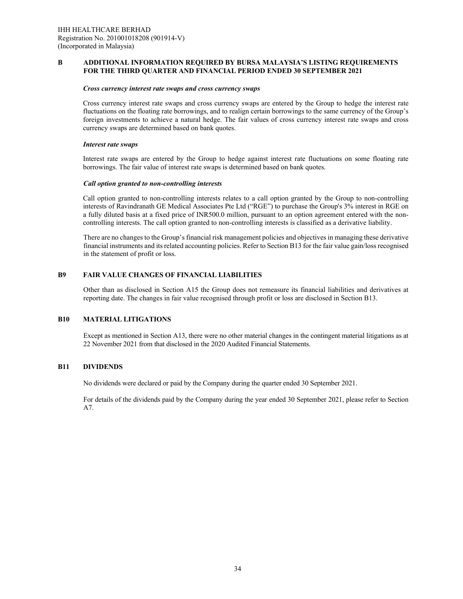#### *Cross currency interest rate swaps and cross currency swaps*

Cross currency interest rate swaps and cross currency swaps are entered by the Group to hedge the interest rate fluctuations on the floating rate borrowings, and to realign certain borrowings to the same currency of the Group's foreign investments to achieve a natural hedge. The fair values of cross currency interest rate swaps and cross currency swaps are determined based on bank quotes.

#### *Interest rate swaps*

Interest rate swaps are entered by the Group to hedge against interest rate fluctuations on some floating rate borrowings. The fair value of interest rate swaps is determined based on bank quotes.

#### *Call option granted to non-controlling interests*

Call option granted to non-controlling interests relates to a call option granted by the Group to non-controlling interests of Ravindranath GE Medical Associates Pte Ltd ("RGE") to purchase the Group's 3% interest in RGE on a fully diluted basis at a fixed price of INR500.0 million, pursuant to an option agreement entered with the noncontrolling interests. The call option granted to non-controlling interests is classified as a derivative liability.

There are no changes to the Group's financial risk management policies and objectives in managing these derivative financial instruments and its related accounting policies. Refer to Section B13 for the fair value gain/loss recognised in the statement of profit or loss.

#### **B9 FAIR VALUE CHANGES OF FINANCIAL LIABILITIES**

Other than as disclosed in Section A15 the Group does not remeasure its financial liabilities and derivatives at reporting date. The changes in fair value recognised through profit or loss are disclosed in Section B13.

#### **B10 MATERIAL LITIGATIONS**

Except as mentioned in Section A13, there were no other material changes in the contingent material litigations as at 22 November 2021 from that disclosed in the 2020 Audited Financial Statements.

#### **B11 DIVIDENDS**

No dividends were declared or paid by the Company during the quarter ended 30 September 2021.

For details of the dividends paid by the Company during the year ended 30 September 2021, please refer to Section A7.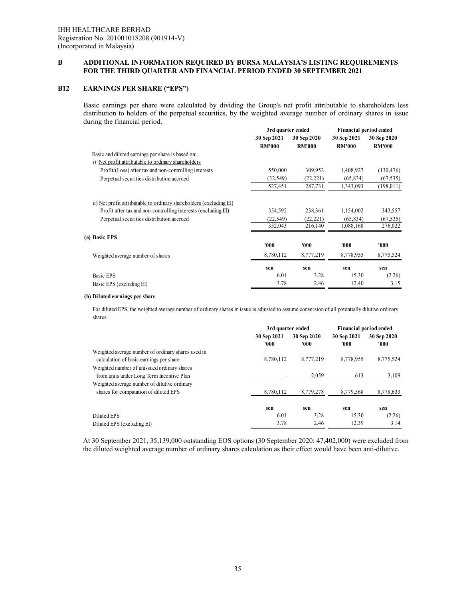# **B12 EARNINGS PER SHARE ("EPS")**

Basic earnings per share were calculated by dividing the Group's net profit attributable to shareholders less distribution to holders of the perpetual securities, by the weighted average number of ordinary shares in issue during the financial period.

|                                                                     | 3rd quarter ended            |                              | Financial period ended       |                              |
|---------------------------------------------------------------------|------------------------------|------------------------------|------------------------------|------------------------------|
|                                                                     | 30 Sep 2021<br><b>RM'000</b> | 30 Sep 2020<br><b>RM'000</b> | 30 Sep 2021<br><b>RM'000</b> | 30 Sep 2020<br><b>RM'000</b> |
| Basic and diluted earnings per share is based on:                   |                              |                              |                              |                              |
| i) Net profit attributable to ordinary shareholders                 |                              |                              |                              |                              |
| Profit/(Loss) after tax and non-controlling interests               | 550,000                      | 309,952                      | 1,408,927                    | (130, 476)                   |
| Perpetual securities distribution accrued                           | (22, 549)                    | (22, 221)                    | (65, 834)                    | (67, 535)                    |
|                                                                     | 527,451                      | 287,731                      | 1,343,093                    | (198, 011)                   |
| ii) Net profit attributable to ordinary shareholders (excluding EI) |                              |                              |                              |                              |
| Profit after tax and non-controlling interests (excluding EI)       | 354,592                      | 238,361                      | 1,154,002                    | 343,557                      |
| Perpetual securities distribution accrued                           | (22, 549)                    | (22, 221)                    | (65, 834)                    | (67, 535)                    |
|                                                                     | 332,043                      | 216,140                      | 1,088,168                    | 276,022                      |
| (a) Basic EPS                                                       |                              |                              |                              |                              |
|                                                                     | 000'                         | '000                         | 000'                         | 000'                         |
| Weighted average number of shares                                   | 8,780,112                    | 8,777,219                    | 8,778,955                    | 8,775,524                    |
|                                                                     | sen                          | sen                          | sen                          | sen                          |
| Basic EPS                                                           | 6.01                         | 3.28                         | 15.30                        | (2.26)                       |
| Basic EPS (excluding EI)                                            | 3.78                         | 2.46                         | 12.40                        | 3.15                         |

#### **(b) Diluted earnings per share**

For diluted EPS, the weighted average number of ordinary shares in issue is adjusted to assume conversion of all potentially dilutive ordinary shares.

|                                                                                               | 3rd quarter ended   |                     | Financial period ended |                      |
|-----------------------------------------------------------------------------------------------|---------------------|---------------------|------------------------|----------------------|
|                                                                                               | 30 Sep 2021<br>'000 | 30 Sep 2020<br>'000 | 30 Sep 2021<br>'000    | 30 Sep 2020<br>'000' |
| Weighted average number of ordinary shares used in<br>calculation of basic earnings per share | 8,780,112           | 8,777,219           | 8,778,955              | 8,775,524            |
| Weighted number of unissued ordinary shares<br>from units under Long Term Incentive Plan      | ٠                   | 2.059               | 613                    | 3,109                |
| Weighted average number of dilutive ordinary<br>shares for computation of diluted EPS         | 8,780,112           | 8,779,278           | 8,779,568              | 8,778,633            |
|                                                                                               | sen                 | sen                 | sen                    | sen                  |
| Diluted EPS                                                                                   | 6.01                | 3.28                | 15.30                  | (2.26)               |
| Diluted EPS (excluding EI)                                                                    | 3.78                | 2.46                | 12.39                  | 3.14                 |

At 30 September 2021, 35,139,000 outstanding EOS options (30 September 2020: 47,402,000) were excluded from the diluted weighted average number of ordinary shares calculation as their effect would have been anti-dilutive.